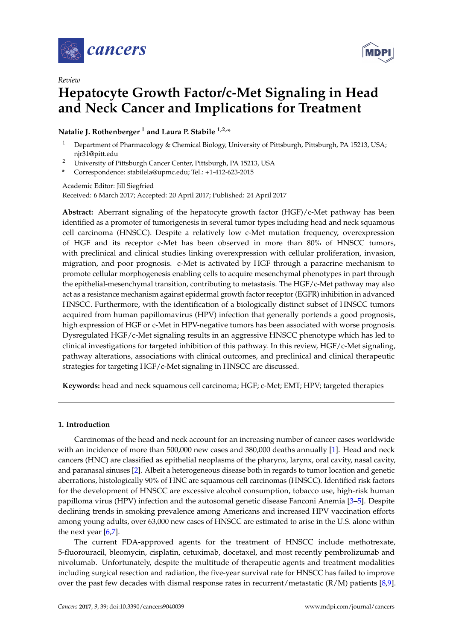



# **Hepatocyte Growth Factor/c-Met Signaling in Head and Neck Cancer and Implications for Treatment**

# **Natalie J. Rothenberger <sup>1</sup> and Laura P. Stabile 1,2,\***

- <sup>1</sup> Department of Pharmacology & Chemical Biology, University of Pittsburgh, Pittsburgh, PA 15213, USA; njr31@pitt.edu
- <sup>2</sup> University of Pittsburgh Cancer Center, Pittsburgh, PA 15213, USA
- **\*** Correspondence: stabilela@upmc.edu; Tel.: +1-412-623-2015

# Academic Editor: Jill Siegfried Received: 6 March 2017; Accepted: 20 April 2017; Published: 24 April 2017

**Abstract:** Aberrant signaling of the hepatocyte growth factor (HGF)/c-Met pathway has been identified as a promoter of tumorigenesis in several tumor types including head and neck squamous cell carcinoma (HNSCC). Despite a relatively low c-Met mutation frequency, overexpression of HGF and its receptor c-Met has been observed in more than 80% of HNSCC tumors, with preclinical and clinical studies linking overexpression with cellular proliferation, invasion, migration, and poor prognosis. c-Met is activated by HGF through a paracrine mechanism to promote cellular morphogenesis enabling cells to acquire mesenchymal phenotypes in part through the epithelial-mesenchymal transition, contributing to metastasis. The HGF/c-Met pathway may also act as a resistance mechanism against epidermal growth factor receptor (EGFR) inhibition in advanced HNSCC. Furthermore, with the identification of a biologically distinct subset of HNSCC tumors acquired from human papillomavirus (HPV) infection that generally portends a good prognosis, high expression of HGF or c-Met in HPV-negative tumors has been associated with worse prognosis. Dysregulated HGF/c-Met signaling results in an aggressive HNSCC phenotype which has led to clinical investigations for targeted inhibition of this pathway. In this review, HGF/c-Met signaling, pathway alterations, associations with clinical outcomes, and preclinical and clinical therapeutic strategies for targeting HGF/c-Met signaling in HNSCC are discussed.

**Keywords:** head and neck squamous cell carcinoma; HGF; c-Met; EMT; HPV; targeted therapies

# **1. Introduction**

Carcinomas of the head and neck account for an increasing number of cancer cases worldwide with an incidence of more than 500,000 new cases and 380,000 deaths annually [\[1\]](#page-12-0). Head and neck cancers (HNC) are classified as epithelial neoplasms of the pharynx, larynx, oral cavity, nasal cavity, and paranasal sinuses [\[2\]](#page-12-1). Albeit a heterogeneous disease both in regards to tumor location and genetic aberrations, histologically 90% of HNC are squamous cell carcinomas (HNSCC). Identified risk factors for the development of HNSCC are excessive alcohol consumption, tobacco use, high-risk human papilloma virus (HPV) infection and the autosomal genetic disease Fanconi Anemia [\[3–](#page-12-2)[5\]](#page-12-3). Despite declining trends in smoking prevalence among Americans and increased HPV vaccination efforts among young adults, over 63,000 new cases of HNSCC are estimated to arise in the U.S. alone within the next year  $[6,7]$  $[6,7]$ .

The current FDA-approved agents for the treatment of HNSCC include methotrexate, 5-fluorouracil, bleomycin, cisplatin, cetuximab, docetaxel, and most recently pembrolizumab and nivolumab. Unfortunately, despite the multitude of therapeutic agents and treatment modalities including surgical resection and radiation, the five-year survival rate for HNSCC has failed to improve over the past few decades with dismal response rates in recurrent/metastatic (R/M) patients [\[8,](#page-13-2)[9\]](#page-13-3).

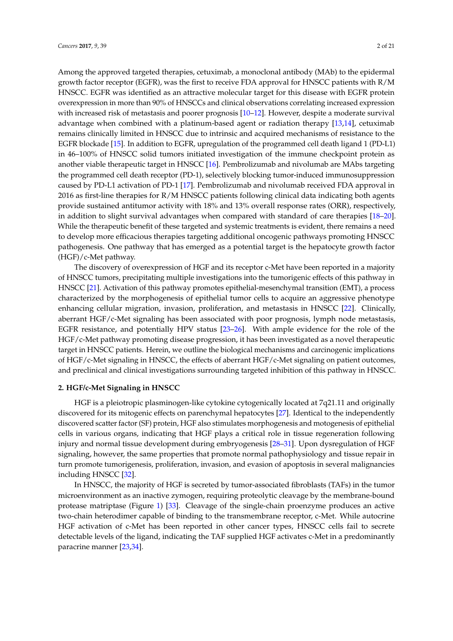Among the approved targeted therapies, cetuximab, a monoclonal antibody (MAb) to the epidermal growth factor receptor (EGFR), was the first to receive FDA approval for HNSCC patients with R/M HNSCC. EGFR was identified as an attractive molecular target for this disease with EGFR protein overexpression in more than 90% of HNSCCs and clinical observations correlating increased expression with increased risk of metastasis and poorer prognosis [\[10–](#page-13-4)[12\]](#page-13-5). However, despite a moderate survival advantage when combined with a platinum-based agent or radiation therapy [\[13](#page-13-6)[,14\]](#page-13-7), cetuximab remains clinically limited in HNSCC due to intrinsic and acquired mechanisms of resistance to the EGFR blockade [\[15\]](#page-13-8). In addition to EGFR, upregulation of the programmed cell death ligand 1 (PD-L1) in 46–100% of HNSCC solid tumors initiated investigation of the immune checkpoint protein as another viable therapeutic target in HNSCC [\[16\]](#page-13-9). Pembrolizumab and nivolumab are MAbs targeting the programmed cell death receptor (PD-1), selectively blocking tumor-induced immunosuppression caused by PD-L1 activation of PD-1 [\[17\]](#page-13-10). Pembrolizumab and nivolumab received FDA approval in 2016 as first-line therapies for R/M HNSCC patients following clinical data indicating both agents provide sustained antitumor activity with 18% and 13% overall response rates (ORR), respectively, in addition to slight survival advantages when compared with standard of care therapies [\[18–](#page-13-11)[20\]](#page-13-12). While the therapeutic benefit of these targeted and systemic treatments is evident, there remains a need to develop more efficacious therapies targeting additional oncogenic pathways promoting HNSCC pathogenesis. One pathway that has emerged as a potential target is the hepatocyte growth factor (HGF)/c-Met pathway.

The discovery of overexpression of HGF and its receptor c-Met have been reported in a majority of HNSCC tumors, precipitating multiple investigations into the tumorigenic effects of this pathway in HNSCC [\[21\]](#page-13-13). Activation of this pathway promotes epithelial-mesenchymal transition (EMT), a process characterized by the morphogenesis of epithelial tumor cells to acquire an aggressive phenotype enhancing cellular migration, invasion, proliferation, and metastasis in HNSCC [\[22\]](#page-13-14). Clinically, aberrant HGF/c-Met signaling has been associated with poor prognosis, lymph node metastasis, EGFR resistance, and potentially HPV status [\[23–](#page-13-15)[26\]](#page-14-0). With ample evidence for the role of the HGF/c-Met pathway promoting disease progression, it has been investigated as a novel therapeutic target in HNSCC patients. Herein, we outline the biological mechanisms and carcinogenic implications of HGF/c-Met signaling in HNSCC, the effects of aberrant HGF/c-Met signaling on patient outcomes, and preclinical and clinical investigations surrounding targeted inhibition of this pathway in HNSCC.

## **2. HGF/c-Met Signaling in HNSCC**

HGF is a pleiotropic plasminogen-like cytokine cytogenically located at 7q21.11 and originally discovered for its mitogenic effects on parenchymal hepatocytes [\[27\]](#page-14-1). Identical to the independently discovered scatter factor (SF) protein, HGF also stimulates morphogenesis and motogenesis of epithelial cells in various organs, indicating that HGF plays a critical role in tissue regeneration following injury and normal tissue development during embryogenesis [\[28](#page-14-2)[–31\]](#page-14-3). Upon dysregulation of HGF signaling, however, the same properties that promote normal pathophysiology and tissue repair in turn promote tumorigenesis, proliferation, invasion, and evasion of apoptosis in several malignancies including HNSCC [\[32\]](#page-14-4).

In HNSCC, the majority of HGF is secreted by tumor-associated fibroblasts (TAFs) in the tumor microenvironment as an inactive zymogen, requiring proteolytic cleavage by the membrane-bound protease matriptase (Figure [1\)](#page-2-0) [\[33\]](#page-14-5). Cleavage of the single-chain proenzyme produces an active two-chain heterodimer capable of binding to the transmembrane receptor, c-Met. While autocrine HGF activation of c-Met has been reported in other cancer types, HNSCC cells fail to secrete detectable levels of the ligand, indicating the TAF supplied HGF activates c-Met in a predominantly paracrine manner [\[23](#page-13-15)[,34\]](#page-14-6).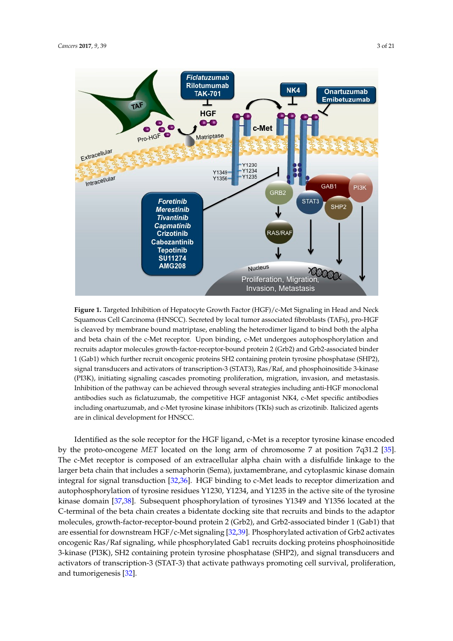<span id="page-2-0"></span>

**Figure 1.** Targeted Inhibition of Hepatocyte Growth Factor (HGF)/c-Met Signaling in Head and Neck Squamous Cell Carcinoma (HNSCC). Secreted by local tumor associated fibroblasts (TAFs), pro-HGF is cleaved by membrane bound matriptase, enabling the heterodimer ligand to bind both the alpha and beta chain of the c-Met receptor. Upon binding, c-Met undergoes autophosphorylation and recruits adaptor molecules growth-factor-receptor-bound protein 2 (Grb2) and Grb2-associated binder 1 (Gab1) which further recruit oncogenic proteins SH2 containing protein tyrosine phosphatase (SHP2), signal transducers and activators of transcription-3 (STAT3), Ras/Raf, and phosphoinositide 3-kinase (PI3K), initiating signaling cascades promoting proliferation, migration, invasion, and metastasis. Inhibition of the pathway can be achieved through several strategies including anti-HGF monoclonal antibodies such as ficlatuzumab, the competitive HGF antagonist NK4, c-Met specific antibodies including onartuzumab, and c-Met tyrosine kinase inhibitors (TKIs) such as crizotinib. Italicized agents are in clinical development for HNSCC.

Identified as the sole receptor for the HGF ligand, c-Met is a receptor tyrosine kinase encoded by the proto-oncogene *MET* located on the long arm of chromosome 7 at position 7q31.2 [\[35\]](#page-14-7). The c-Met receptor is composed of an extracellular alpha chain with a disfulfide linkage to the larger beta chain that includes a semaphorin (Sema), juxtamembrane, and cytoplasmic kinase domain  $k = 16$ . Subsequent phosphorylation of type domain  $\frac{1}{2}$  and  $\frac{1}{2}$  and  $\frac{1}{2}$  located at the theorylation of type data the theorylation of the theorylation of the theorylation of the theorylation of the theoryl integral for signal transduction [\[32,](#page-14-4)[36\]](#page-14-8). HGF binding to c-Met leads to receptor dimerization and integral for autophosphorylation of tyrosine residues Y1230, Y1234, and Y1235 in the active site of the tyrosine kinase domain [\[37](#page-14-9)[,38\]](#page-14-10). Subsequent phosphorylation of tyrosines Y1349 and Y1356 located at the C-terminal of the beta chain creates a bidentate docking site that recruits and binds to the adaptor molecules, growth-factor-receptor-bound protein 2 (Grb2), and Grb2-associated binder 1 (Gab1) that are essential for downstream HGF/c-Met signaling [\[32](#page-14-4)[,39\]](#page-14-11). Phosphorylated activation of Grb2 activates oncogenic Ras/Raf signaling, while phosphorylated Gab1 recruits docking proteins phosphoinositide 3-kinase (PI3K), SH2 containing protein tyrosine phosphatase (SHP2), and signal transducers and activators of transcription-3 (STAT-3) that activate pathways promoting cell survival, proliferation, and tumorigenesis [\[32\]](#page-14-4).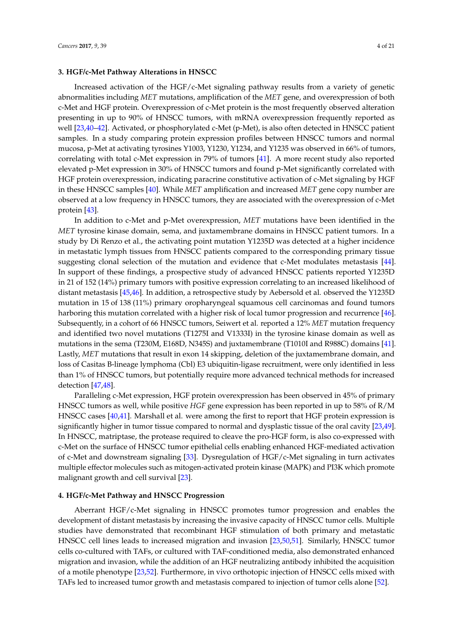# **3. HGF/c-Met Pathway Alterations in HNSCC**

Increased activation of the HGF/c-Met signaling pathway results from a variety of genetic abnormalities including *MET* mutations, amplification of the *MET* gene, and overexpression of both c-Met and HGF protein. Overexpression of c-Met protein is the most frequently observed alteration presenting in up to 90% of HNSCC tumors, with mRNA overexpression frequently reported as well [\[23,](#page-13-15)[40](#page-14-12)[–42\]](#page-14-13). Activated, or phosphorylated c-Met (p-Met), is also often detected in HNSCC patient samples. In a study comparing protein expression profiles between HNSCC tumors and normal mucosa, p-Met at activating tyrosines Y1003, Y1230, Y1234, and Y1235 was observed in 66% of tumors, correlating with total c-Met expression in 79% of tumors [\[41\]](#page-14-14). A more recent study also reported elevated p-Met expression in 30% of HNSCC tumors and found p-Met significantly correlated with HGF protein overexpression, indicating paracrine constitutive activation of c-Met signaling by HGF in these HNSCC samples [\[40\]](#page-14-12). While *MET* amplification and increased *MET* gene copy number are observed at a low frequency in HNSCC tumors, they are associated with the overexpression of c-Met protein [\[43\]](#page-14-15).

In addition to c-Met and p-Met overexpression, *MET* mutations have been identified in the *MET* tyrosine kinase domain, sema, and juxtamembrane domains in HNSCC patient tumors. In a study by Di Renzo et al., the activating point mutation Y1235D was detected at a higher incidence in metastatic lymph tissues from HNSCC patients compared to the corresponding primary tissue suggesting clonal selection of the mutation and evidence that c-Met modulates metastasis [\[44\]](#page-14-16). In support of these findings, a prospective study of advanced HNSCC patients reported Y1235D in 21 of 152 (14%) primary tumors with positive expression correlating to an increased likelihood of distant metastasis [\[45,](#page-15-0)[46\]](#page-15-1). In addition, a retrospective study by Aebersold et al. observed the Y1235D mutation in 15 of 138 (11%) primary oropharyngeal squamous cell carcinomas and found tumors harboring this mutation correlated with a higher risk of local tumor progression and recurrence [\[46\]](#page-15-1). Subsequently, in a cohort of 66 HNSCC tumors, Seiwert et al. reported a 12% *MET* mutation frequency and identified two novel mutations (T1275I and V1333I) in the tyrosine kinase domain as well as mutations in the sema (T230M, E168D, N345S) and juxtamembrane (T1010I and R988C) domains [\[41\]](#page-14-14). Lastly, *MET* mutations that result in exon 14 skipping, deletion of the juxtamembrane domain, and loss of Casitas B-lineage lymphoma (Cbl) E3 ubiquitin-ligase recruitment, were only identified in less than 1% of HNSCC tumors, but potentially require more advanced technical methods for increased detection [\[47](#page-15-2)[,48\]](#page-15-3).

Paralleling c-Met expression, HGF protein overexpression has been observed in 45% of primary HNSCC tumors as well, while positive *HGF* gene expression has been reported in up to 58% of R/M HNSCC cases [\[40](#page-14-12)[,41\]](#page-14-14). Marshall et al. were among the first to report that HGF protein expression is significantly higher in tumor tissue compared to normal and dysplastic tissue of the oral cavity [\[23](#page-13-15)[,49\]](#page-15-4). In HNSCC, matriptase, the protease required to cleave the pro-HGF form, is also co-expressed with c-Met on the surface of HNSCC tumor epithelial cells enabling enhanced HGF-mediated activation of c-Met and downstream signaling [\[33\]](#page-14-5). Dysregulation of HGF/c-Met signaling in turn activates multiple effector molecules such as mitogen-activated protein kinase (MAPK) and PI3K which promote malignant growth and cell survival [\[23\]](#page-13-15).

# **4. HGF/c-Met Pathway and HNSCC Progression**

Aberrant HGF/c-Met signaling in HNSCC promotes tumor progression and enables the development of distant metastasis by increasing the invasive capacity of HNSCC tumor cells. Multiple studies have demonstrated that recombinant HGF stimulation of both primary and metastatic HNSCC cell lines leads to increased migration and invasion [\[23](#page-13-15)[,50](#page-15-5)[,51\]](#page-15-6). Similarly, HNSCC tumor cells co-cultured with TAFs, or cultured with TAF-conditioned media, also demonstrated enhanced migration and invasion, while the addition of an HGF neutralizing antibody inhibited the acquisition of a motile phenotype [\[23](#page-13-15)[,52\]](#page-15-7). Furthermore, in vivo orthotopic injection of HNSCC cells mixed with TAFs led to increased tumor growth and metastasis compared to injection of tumor cells alone [\[52\]](#page-15-7).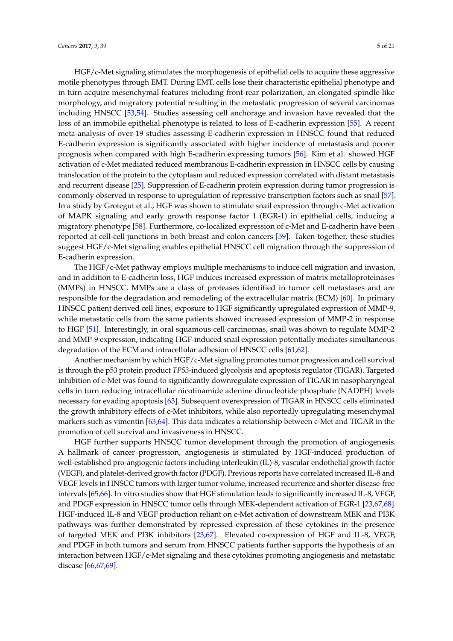HGF/c-Met signaling stimulates the morphogenesis of epithelial cells to acquire these aggressive motile phenotypes through EMT. During EMT, cells lose their characteristic epithelial phenotype and in turn acquire mesenchymal features including front-rear polarization, an elongated spindle-like morphology, and migratory potential resulting in the metastatic progression of several carcinomas including HNSCC [\[53,](#page-15-8)[54\]](#page-15-9). Studies assessing cell anchorage and invasion have revealed that the loss of an immobile epithelial phenotype is related to loss of E-cadherin expression [\[55\]](#page-15-10). A recent meta-analysis of over 19 studies assessing E-cadherin expression in HNSCC found that reduced E-cadherin expression is significantly associated with higher incidence of metastasis and poorer prognosis when compared with high E-cadherin expressing tumors [\[56\]](#page-15-11). Kim et al. showed HGF activation of c-Met mediated reduced membranous E-cadherin expression in HNSCC cells by causing translocation of the protein to the cytoplasm and reduced expression correlated with distant metastasis and recurrent disease [\[25\]](#page-13-16). Suppression of E-cadherin protein expression during tumor progression is commonly observed in response to upregulation of repressive transcription factors such as snail [\[57\]](#page-15-12). In a study by Grotegut et al., HGF was shown to stimulate snail expression through c-Met activation of MAPK signaling and early growth response factor 1 (EGR-1) in epithelial cells, inducing a migratory phenotype [\[58\]](#page-15-13). Furthermore, co-localized expression of c-Met and E-cadherin have been reported at cell-cell junctions in both breast and colon cancers [\[59\]](#page-15-14). Taken together, these studies suggest HGF/c-Met signaling enables epithelial HNSCC cell migration through the suppression of E-cadherin expression.

The HGF/c-Met pathway employs multiple mechanisms to induce cell migration and invasion, and in addition to E-cadherin loss, HGF induces increased expression of matrix metalloproteinases (MMPs) in HNSCC. MMPs are a class of proteases identified in tumor cell metastases and are responsible for the degradation and remodeling of the extracellular matrix (ECM) [\[60\]](#page-15-15). In primary HNSCC patient derived cell lines, exposure to HGF significantly upregulated expression of MMP-9, while metastatic cells from the same patients showed increased expression of MMP-2 in response to HGF [\[51\]](#page-15-6). Interestingly, in oral squamous cell carcinomas, snail was shown to regulate MMP-2 and MMP-9 expression, indicating HGF-induced snail expression potentially mediates simultaneous degradation of the ECM and intracellular adhesion of HNSCC cells [\[61,](#page-15-16)[62\]](#page-15-17).

Another mechanism by which HGF/c-Met signaling promotes tumor progression and cell survival is through the p53 protein product *TP53-*induced glycolysis and apoptosis regulator (TIGAR). Targeted inhibition of c-Met was found to significantly downregulate expression of TIGAR in nasopharyngeal cells in turn reducing intracellular nicotinamide adenine dinucleotide phosphate (NADPH) levels necessary for evading apoptosis [\[63\]](#page-15-18). Subsequent overexpression of TIGAR in HNSCC cells eliminated the growth inhibitory effects of c-Met inhibitors, while also reportedly upregulating mesenchymal markers such as vimentin [\[63,](#page-15-18)[64\]](#page-16-0). This data indicates a relationship between c-Met and TIGAR in the promotion of cell survival and invasiveness in HNSCC.

HGF further supports HNSCC tumor development through the promotion of angiogenesis. A hallmark of cancer progression, angiogenesis is stimulated by HGF-induced production of well-established pro-angiogenic factors including interleukin (IL)-8, vascular endothelial growth factor (VEGF), and platelet-derived growth factor (PDGF). Previous reports have correlated increased IL-8 and VEGF levels in HNSCC tumors with larger tumor volume, increased recurrence and shorter disease-free intervals [\[65](#page-16-1)[,66\]](#page-16-2). In vitro studies show that HGF stimulation leads to significantly increased IL-8, VEGF, and PDGF expression in HNSCC tumor cells through MEK-dependent activation of EGR-1 [\[23](#page-13-15)[,67](#page-16-3)[,68\]](#page-16-4). HGF-induced IL-8 and VEGF production reliant on c-Met activation of downstream MEK and PI3K pathways was further demonstrated by repressed expression of these cytokines in the presence of targeted MEK and PI3K inhibitors [\[23,](#page-13-15)[67\]](#page-16-3). Elevated co-expression of HGF and IL-8, VEGF, and PDGF in both tumors and serum from HNSCC patients further supports the hypothesis of an interaction between HGF/c-Met signaling and these cytokines promoting angiogenesis and metastatic disease [\[66](#page-16-2)[,67,](#page-16-3)[69\]](#page-16-5).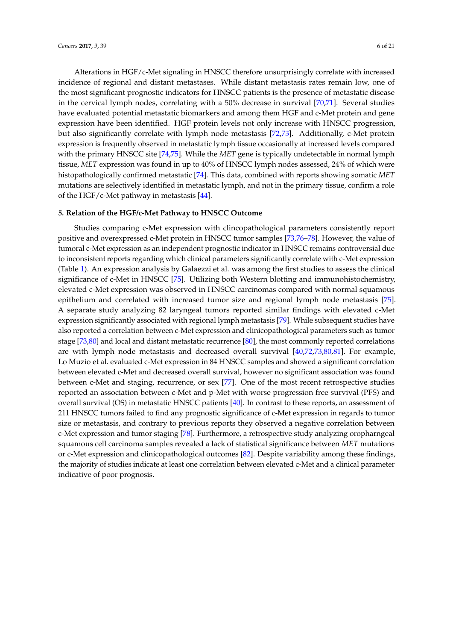Alterations in HGF/c-Met signaling in HNSCC therefore unsurprisingly correlate with increased incidence of regional and distant metastases. While distant metastasis rates remain low, one of the most significant prognostic indicators for HNSCC patients is the presence of metastatic disease in the cervical lymph nodes, correlating with a 50% decrease in survival [\[70](#page-16-6)[,71\]](#page-16-7). Several studies have evaluated potential metastatic biomarkers and among them HGF and c-Met protein and gene expression have been identified. HGF protein levels not only increase with HNSCC progression, but also significantly correlate with lymph node metastasis [\[72,](#page-16-8)[73\]](#page-16-9). Additionally, c-Met protein expression is frequently observed in metastatic lymph tissue occasionally at increased levels compared with the primary HNSCC site [\[74,](#page-16-10)[75\]](#page-16-11). While the *MET* gene is typically undetectable in normal lymph tissue, *MET* expression was found in up to 40% of HNSCC lymph nodes assessed, 24% of which were histopathologically confirmed metastatic [\[74\]](#page-16-10). This data, combined with reports showing somatic *MET* mutations are selectively identified in metastatic lymph, and not in the primary tissue, confirm a role of the HGF/c-Met pathway in metastasis  $[44]$ .

# **5. Relation of the HGF/c-Met Pathway to HNSCC Outcome**

Studies comparing c-Met expression with clincopathological parameters consistently report positive and overexpressed c-Met protein in HNSCC tumor samples [\[73,](#page-16-9)[76](#page-16-12)[–78\]](#page-16-13). However, the value of tumoral c-Met expression as an independent prognostic indicator in HNSCC remains controversial due to inconsistent reports regarding which clinical parameters significantly correlate with c-Met expression (Table [1\)](#page-6-0). An expression analysis by Galaezzi et al. was among the first studies to assess the clinical significance of c-Met in HNSCC [\[75\]](#page-16-11). Utilizing both Western blotting and immunohistochemistry, elevated c-Met expression was observed in HNSCC carcinomas compared with normal squamous epithelium and correlated with increased tumor size and regional lymph node metastasis [\[75\]](#page-16-11). A separate study analyzing 82 laryngeal tumors reported similar findings with elevated c-Met expression significantly associated with regional lymph metastasis [\[79\]](#page-16-14). While subsequent studies have also reported a correlation between c-Met expression and clinicopathological parameters such as tumor stage [\[73](#page-16-9)[,80\]](#page-16-15) and local and distant metastatic recurrence [\[80\]](#page-16-15), the most commonly reported correlations are with lymph node metastasis and decreased overall survival [\[40,](#page-14-12)[72,](#page-16-8)[73,](#page-16-9)[80,](#page-16-15)[81\]](#page-16-16). For example, Lo Muzio et al. evaluated c-Met expression in 84 HNSCC samples and showed a significant correlation between elevated c-Met and decreased overall survival, however no significant association was found between c-Met and staging, recurrence, or sex [\[77\]](#page-16-17). One of the most recent retrospective studies reported an association between c-Met and p-Met with worse progression free survival (PFS) and overall survival (OS) in metastatic HNSCC patients [\[40\]](#page-14-12). In contrast to these reports, an assessment of 211 HNSCC tumors failed to find any prognostic significance of c-Met expression in regards to tumor size or metastasis, and contrary to previous reports they observed a negative correlation between c-Met expression and tumor staging [\[78\]](#page-16-13). Furthermore, a retrospective study analyzing oropharngeal squamous cell carcinoma samples revealed a lack of statistical significance between *MET* mutations or c-Met expression and clinicopathological outcomes [\[82\]](#page-17-0). Despite variability among these findings, the majority of studies indicate at least one correlation between elevated c-Met and a clinical parameter indicative of poor prognosis.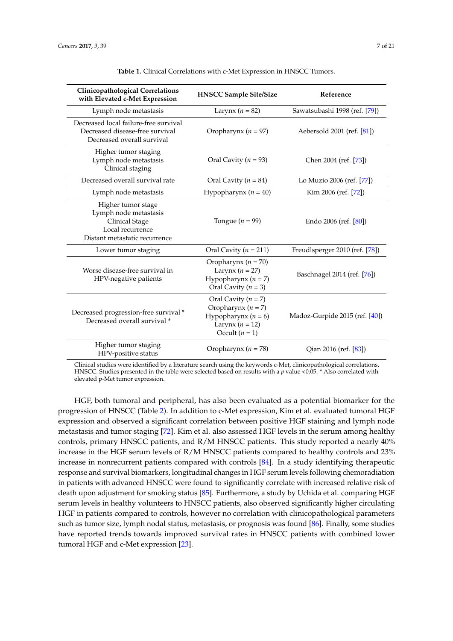<span id="page-6-0"></span>

| <b>Clinicopathological Correlations</b><br>with Elevated c-Met Expression                                          | <b>HNSCC Sample Site/Size</b>                                                                                         | Reference                      |
|--------------------------------------------------------------------------------------------------------------------|-----------------------------------------------------------------------------------------------------------------------|--------------------------------|
| Lymph node metastasis                                                                                              | Larynx ( $n = 82$ )                                                                                                   | Sawatsubashi 1998 (ref. [79])  |
| Decreased local failure-free survival<br>Decreased disease-free survival<br>Decreased overall survival             | Oropharynx ( $n = 97$ )                                                                                               | Aebersold 2001 (ref. [81])     |
| Higher tumor staging<br>Lymph node metastasis<br>Clinical staging                                                  | Oral Cavity ( $n = 93$ )                                                                                              | Chen 2004 (ref. [73])          |
| Decreased overall survival rate                                                                                    | Oral Cavity ( $n = 84$ )                                                                                              | Lo Muzio 2006 (ref. [77])      |
| Lymph node metastasis                                                                                              | Hypopharynx ( $n = 40$ )                                                                                              | Kim 2006 (ref. [72])           |
| Higher tumor stage<br>Lymph node metastasis<br>Clinical Stage<br>Local recurrence<br>Distant metastatic recurrence | Tongue ( $n = 99$ )                                                                                                   | Endo 2006 (ref. [80])          |
| Lower tumor staging                                                                                                | Oral Cavity ( $n = 211$ )                                                                                             | Freudlsperger 2010 (ref. [78]) |
| Worse disease-free survival in<br>HPV-negative patients                                                            | Oropharynx ( $n = 70$ )<br>Larynx ( $n = 27$ )<br>Hypopharynx ( $n = 7$ )<br>Oral Cavity ( $n = 3$ )                  | Baschnagel 2014 (ref. [76])    |
| Decreased progression-free survival *<br>Decreased overall survival *                                              | Oral Cavity $(n = 7)$<br>Oropharynx ( $n = 7$ )<br>Hypopharynx ( $n = 6$ )<br>Larynx ( $n = 12$ )<br>Occult $(n = 1)$ | Madoz-Gurpide 2015 (ref. [40]) |
| Higher tumor staging<br>HPV-positive status                                                                        | Oropharynx ( $n = 78$ )                                                                                               | Qian 2016 (ref. [83])          |

| Table 1. Clinical Correlations with c-Met Expression in HNSCC Tumors. |
|-----------------------------------------------------------------------|
|-----------------------------------------------------------------------|

Clinical studies were identified by a literature search using the keywords c-Met, clinicopathological correlations, HNSCC. Studies presented in the table were selected based on results with a *p* value <0.05. \* Also correlated with elevated p-Met tumor expression.

HGF, both tumoral and peripheral, has also been evaluated as a potential biomarker for the progression of HNSCC (Table [2\)](#page-7-0). In addition to c-Met expression, Kim et al. evaluated tumoral HGF expression and observed a significant correlation between positive HGF staining and lymph node metastasis and tumor staging [\[72\]](#page-16-8). Kim et al. also assessed HGF levels in the serum among healthy controls, primary HNSCC patients, and R/M HNSCC patients. This study reported a nearly 40% increase in the HGF serum levels of R/M HNSCC patients compared to healthy controls and 23% increase in nonrecurrent patients compared with controls [\[84\]](#page-17-2). In a study identifying therapeutic response and survival biomarkers, longitudinal changes in HGF serum levels following chemoradiation in patients with advanced HNSCC were found to significantly correlate with increased relative risk of death upon adjustment for smoking status [\[85\]](#page-17-3). Furthermore, a study by Uchida et al. comparing HGF serum levels in healthy volunteers to HNSCC patients, also observed significantly higher circulating HGF in patients compared to controls, however no correlation with clinicopathological parameters such as tumor size, lymph nodal status, metastasis, or prognosis was found [\[86\]](#page-17-4). Finally, some studies have reported trends towards improved survival rates in HNSCC patients with combined lower tumoral HGF and c-Met expression [\[23\]](#page-13-15).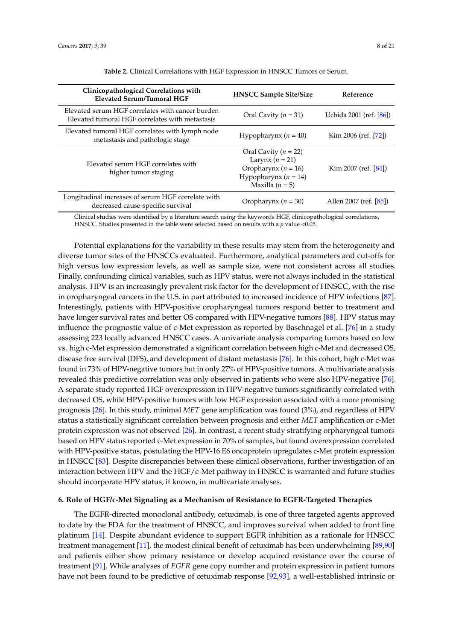<span id="page-7-0"></span>

| Clinicopathological Correlations with<br><b>Elevated Serum/Tumoral HGF</b>                          | <b>HNSCC Sample Site/Size</b>                                                                                             | Reference               |
|-----------------------------------------------------------------------------------------------------|---------------------------------------------------------------------------------------------------------------------------|-------------------------|
| Elevated serum HGF correlates with cancer burden<br>Elevated tumoral HGF correlates with metastasis | Oral Cavity ( $n = 31$ )                                                                                                  | Uchida 2001 (ref. [86]) |
| Elevated tumoral HGF correlates with lymph node<br>metastasis and pathologic stage                  | Hypopharynx $(n = 40)$                                                                                                    | Kim 2006 (ref. $[72]$ ) |
| Elevated serum HGF correlates with<br>higher tumor staging                                          | Oral Cavity ( $n = 22$ )<br>Larynx $(n = 21)$<br>Oropharynx ( $n = 16$ )<br>Hypopharynx ( $n = 14$ )<br>Maxilla $(n = 5)$ | Kim 2007 (ref. $[84]$ ) |
| Longitudinal increases of serum HGF correlate with<br>decreased cause-specific survival             | Oropharynx ( $n = 30$ )                                                                                                   | Allen 2007 (ref. [85])  |

Clinical studies were identified by a literature search using the keywords HGF, clinicopathological correlations, HNSCC. Studies presented in the table were selected based on results with a *p* value <0.05.

Potential explanations for the variability in these results may stem from the heterogeneity and diverse tumor sites of the HNSCCs evaluated. Furthermore, analytical parameters and cut-offs for high versus low expression levels, as well as sample size, were not consistent across all studies. Finally, confounding clinical variables, such as HPV status, were not always included in the statistical analysis. HPV is an increasingly prevalent risk factor for the development of HNSCC, with the rise in oropharyngeal cancers in the U.S. in part attributed to increased incidence of HPV infections [\[87\]](#page-17-5). Interestingly, patients with HPV-positive oropharyngeal tumors respond better to treatment and have longer survival rates and better OS compared with HPV-negative tumors [\[88\]](#page-17-6). HPV status may influence the prognostic value of c-Met expression as reported by Baschnagel et al. [\[76\]](#page-16-12) in a study assessing 223 locally advanced HNSCC cases. A univariate analysis comparing tumors based on low vs. high c-Met expression demonstrated a significant correlation between high c-Met and decreased OS, disease free survival (DFS), and development of distant metastasis [\[76\]](#page-16-12). In this cohort, high c-Met was found in 73% of HPV-negative tumors but in only 27% of HPV-positive tumors. A multivariate analysis revealed this predictive correlation was only observed in patients who were also HPV-negative [\[76\]](#page-16-12). A separate study reported HGF overexpression in HPV-negative tumors significantly correlated with decreased OS, while HPV-positive tumors with low HGF expression associated with a more promising prognosis [\[26\]](#page-14-0). In this study, minimal *MET* gene amplification was found (3%), and regardless of HPV status a statistically significant correlation between prognosis and either *MET* amplification or c-Met protein expression was not observed [\[26\]](#page-14-0). In contrast, a recent study stratifying orpharyngeal tumors based on HPV status reported c-Met expression in 70% of samples, but found overexpression correlated with HPV-positive status, postulating the HPV-16 E6 oncoprotein upregulates c-Met protein expression in HNSCC [\[83\]](#page-17-1). Despite discrepancies between these clinical observations, further investigation of an interaction between HPV and the HGF/c-Met pathway in HNSCC is warranted and future studies should incorporate HPV status, if known, in multivariate analyses.

#### **6. Role of HGF/c-Met Signaling as a Mechanism of Resistance to EGFR-Targeted Therapies**

The EGFR-directed monoclonal antibody, cetuximab, is one of three targeted agents approved to date by the FDA for the treatment of HNSCC, and improves survival when added to front line platinum [\[14\]](#page-13-7). Despite abundant evidence to support EGFR inhibition as a rationale for HNSCC treatment management [\[11\]](#page-13-17), the modest clinical benefit of cetuximab has been underwhelming [\[89](#page-17-7)[,90\]](#page-17-8) and patients either show primary resistance or develop acquired resistance over the course of treatment [\[91\]](#page-17-9). While analyses of *EGFR* gene copy number and protein expression in patient tumors have not been found to be predictive of cetuximab response [\[92,](#page-17-10)[93\]](#page-17-11), a well-established intrinsic or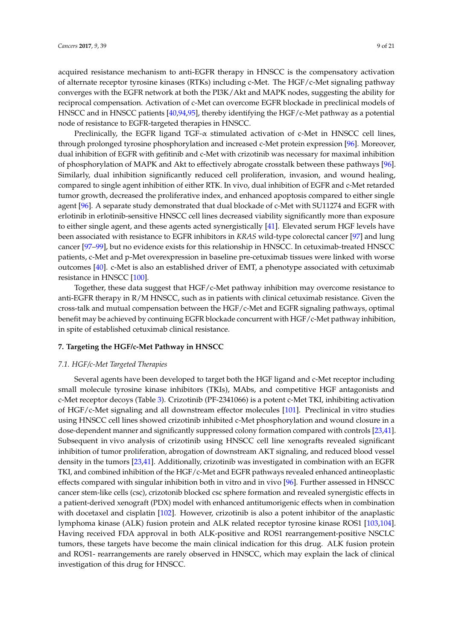acquired resistance mechanism to anti-EGFR therapy in HNSCC is the compensatory activation of alternate receptor tyrosine kinases (RTKs) including c-Met. The HGF/c-Met signaling pathway converges with the EGFR network at both the PI3K/Akt and MAPK nodes, suggesting the ability for reciprocal compensation. Activation of c-Met can overcome EGFR blockade in preclinical models of HNSCC and in HNSCC patients [\[40,](#page-14-12)[94,](#page-17-12)[95\]](#page-17-13), thereby identifying the HGF/c-Met pathway as a potential node of resistance to EGFR-targeted therapies in HNSCC.

Preclinically, the EGFR ligand TGF- $\alpha$  stimulated activation of c-Met in HNSCC cell lines, through prolonged tyrosine phosphorylation and increased c-Met protein expression [\[96\]](#page-17-14). Moreover, dual inhibition of EGFR with gefitinib and c-Met with crizotinib was necessary for maximal inhibition of phosphorylation of MAPK and Akt to effectively abrogate crosstalk between these pathways [\[96\]](#page-17-14). Similarly, dual inhibition significantly reduced cell proliferation, invasion, and wound healing, compared to single agent inhibition of either RTK. In vivo, dual inhibition of EGFR and c-Met retarded tumor growth, decreased the proliferative index, and enhanced apoptosis compared to either single agent [\[96\]](#page-17-14). A separate study demonstrated that dual blockade of c-Met with SU11274 and EGFR with erlotinib in erlotinib-sensitive HNSCC cell lines decreased viability significantly more than exposure to either single agent, and these agents acted synergistically [\[41\]](#page-14-14). Elevated serum HGF levels have been associated with resistance to EGFR inhibitors in *KRAS* wild-type colorectal cancer [\[97\]](#page-17-15) and lung cancer [\[97–](#page-17-15)[99\]](#page-18-0), but no evidence exists for this relationship in HNSCC. In cetuximab-treated HNSCC patients, c-Met and p-Met overexpression in baseline pre-cetuximab tissues were linked with worse outcomes [\[40\]](#page-14-12). c-Met is also an established driver of EMT, a phenotype associated with cetuximab resistance in HNSCC [\[100\]](#page-18-1).

Together, these data suggest that HGF/c-Met pathway inhibition may overcome resistance to anti-EGFR therapy in R/M HNSCC, such as in patients with clinical cetuximab resistance. Given the cross-talk and mutual compensation between the HGF/c-Met and EGFR signaling pathways, optimal benefit may be achieved by continuing EGFR blockade concurrent with HGF/c-Met pathway inhibition, in spite of established cetuximab clinical resistance.

# **7. Targeting the HGF/c-Met Pathway in HNSCC**

# *7.1. HGF/c-Met Targeted Therapies*

Several agents have been developed to target both the HGF ligand and c-Met receptor including small molecule tyrosine kinase inhibitors (TKIs), MAbs, and competitive HGF antagonists and c-Met receptor decoys (Table [3\)](#page-9-0). Crizotinib (PF-2341066) is a potent c-Met TKI, inhibiting activation of HGF/c-Met signaling and all downstream effector molecules [\[101\]](#page-18-2). Preclinical in vitro studies using HNSCC cell lines showed crizotinib inhibited c-Met phosphorylation and wound closure in a dose-dependent manner and significantly suppressed colony formation compared with controls [\[23](#page-13-15)[,41\]](#page-14-14). Subsequent in vivo analysis of crizotinib using HNSCC cell line xenografts revealed significant inhibition of tumor proliferation, abrogation of downstream AKT signaling, and reduced blood vessel density in the tumors [\[23,](#page-13-15)[41\]](#page-14-14). Additionally, crizotinib was investigated in combination with an EGFR TKI, and combined inhibition of the HGF/c-Met and EGFR pathways revealed enhanced antineoplastic effects compared with singular inhibition both in vitro and in vivo [\[96\]](#page-17-14). Further assessed in HNSCC cancer stem-like cells (csc), crizotonib blocked csc sphere formation and revealed synergistic effects in a patient-derived xenograft (PDX) model with enhanced antitumorigenic effects when in combination with docetaxel and cisplatin [\[102\]](#page-18-3). However, crizotinib is also a potent inhibitor of the anaplastic lymphoma kinase (ALK) fusion protein and ALK related receptor tyrosine kinase ROS1 [\[103,](#page-18-4)[104\]](#page-18-5). Having received FDA approval in both ALK-positive and ROS1 rearrangement-positive NSCLC tumors, these targets have become the main clinical indication for this drug. ALK fusion protein and ROS1- rearrangements are rarely observed in HNSCC, which may explain the lack of clinical investigation of this drug for HNSCC.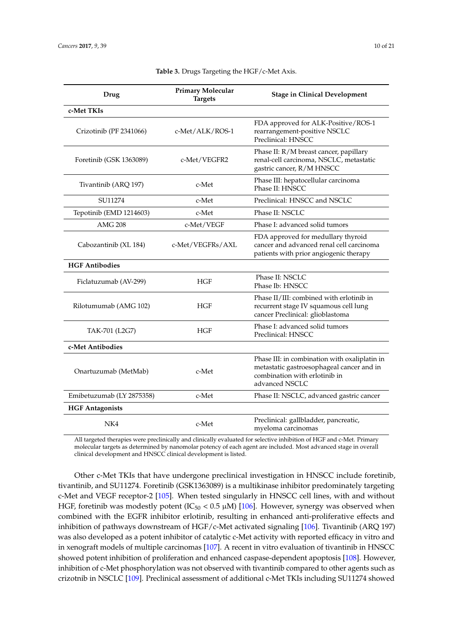<span id="page-9-0"></span>

| Drug                      | <b>Primary Molecular</b><br><b>Targets</b> | <b>Stage in Clinical Development</b>                                                                                                          |
|---------------------------|--------------------------------------------|-----------------------------------------------------------------------------------------------------------------------------------------------|
| c-Met TKIs                |                                            |                                                                                                                                               |
| Crizotinib (PF 2341066)   | c-Met/ALK/ROS-1                            | FDA approved for ALK-Positive/ROS-1<br>rearrangement-positive NSCLC<br>Preclinical: HNSCC                                                     |
| Foretinib (GSK 1363089)   | c-Met/VEGFR2                               | Phase II: R/M breast cancer, papillary<br>renal-cell carcinoma, NSCLC, metastatic<br>gastric cancer, R/M HNSCC                                |
| Tivantinib (ARQ 197)      | c-Met                                      | Phase III: hepatocellular carcinoma<br>Phase II: HNSCC                                                                                        |
| SU11274                   | c-Met                                      | Preclinical: HNSCC and NSCLC                                                                                                                  |
| Tepotinib (EMD 1214603)   | c-Met                                      | Phase II: NSCLC                                                                                                                               |
| <b>AMG 208</b>            | c-Met/VEGF                                 | Phase I: advanced solid tumors                                                                                                                |
| Cabozantinib (XL 184)     | c-Met/VEGFRs/AXL                           | FDA approved for medullary thyroid<br>cancer and advanced renal cell carcinoma<br>patients with prior angiogenic therapy                      |
| <b>HGF Antibodies</b>     |                                            |                                                                                                                                               |
| Ficlatuzumab (AV-299)     | HGF                                        | Phase II: NSCLC<br>Phase Ib: HNSCC                                                                                                            |
| Rilotumumab (AMG 102)     | <b>HGF</b>                                 | Phase II/III: combined with erlotinib in<br>recurrent stage IV squamous cell lung<br>cancer Preclinical: glioblastoma                         |
| TAK-701 (L2G7)            | <b>HGF</b>                                 | Phase I: advanced solid tumors<br>Preclinical: HNSCC                                                                                          |
| c-Met Antibodies          |                                            |                                                                                                                                               |
| Onartuzumab (MetMab)      | c-Met                                      | Phase III: in combination with oxaliplatin in<br>metastatic gastroesophageal cancer and in<br>combination with erlotinib in<br>advanced NSCLC |
| Emibetuzumab (LY 2875358) | c-Met                                      | Phase II: NSCLC, advanced gastric cancer                                                                                                      |
| <b>HGF Antagonists</b>    |                                            |                                                                                                                                               |
| NK4                       | c-Met                                      | Preclinical: gallbladder, pancreatic,<br>myeloma carcinomas                                                                                   |

#### **Table 3.** Drugs Targeting the HGF/c-Met Axis.

All targeted therapies were preclinically and clinically evaluated for selective inhibition of HGF and c-Met. Primary molecular targets as determined by nanomolar potency of each agent are included. Most advanced stage in overall clinical development and HNSCC clinical development is listed.

Other c-Met TKIs that have undergone preclinical investigation in HNSCC include foretinib, tivantinib, and SU11274. Foretinib (GSK1363089) is a multikinase inhibitor predominately targeting c-Met and VEGF receptor-2 [\[105\]](#page-18-6). When tested singularly in HNSCC cell lines, with and without HGF, foretinib was modestly potent (IC<sub>50</sub> < 0.5  $\mu$ M) [\[106\]](#page-18-7). However, synergy was observed when combined with the EGFR inhibitor erlotinib, resulting in enhanced anti-proliferative effects and inhibition of pathways downstream of HGF/c-Met activated signaling [\[106\]](#page-18-7). Tivantinib (ARQ 197) was also developed as a potent inhibitor of catalytic c-Met activity with reported efficacy in vitro and in xenograft models of multiple carcinomas [\[107\]](#page-18-8). A recent in vitro evaluation of tivantinib in HNSCC showed potent inhibition of proliferation and enhanced caspase-dependent apoptosis [\[108\]](#page-18-9). However, inhibition of c-Met phosphorylation was not observed with tivantinib compared to other agents such as crizotnib in NSCLC [\[109\]](#page-18-10). Preclinical assessment of additional c-Met TKIs including SU11274 showed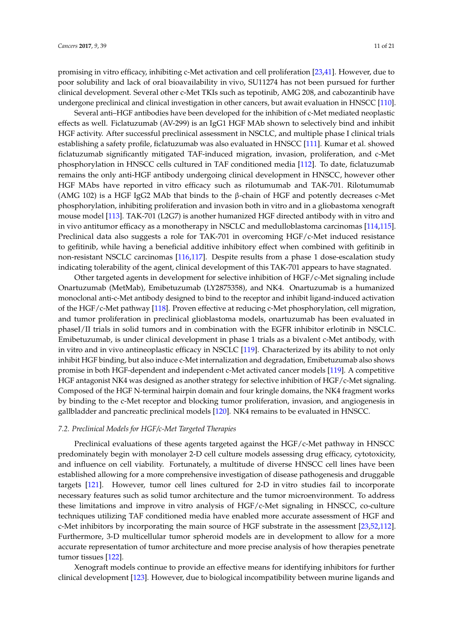promising in vitro efficacy, inhibiting c-Met activation and cell proliferation [\[23](#page-13-15)[,41\]](#page-14-14). However, due to poor solubility and lack of oral bioavailability in vivo, SU11274 has not been pursued for further clinical development. Several other c-Met TKIs such as tepotinib, AMG 208, and cabozantinib have undergone preclinical and clinical investigation in other cancers, but await evaluation in HNSCC [\[110\]](#page-18-11).

Several anti–HGF antibodies have been developed for the inhibition of c-Met mediated neoplastic effects as well. Ficlatuzumab (AV-299) is an IgG1 HGF MAb shown to selectively bind and inhibit HGF activity. After successful preclinical assessment in NSCLC, and multiple phase I clinical trials establishing a safety profile, ficlatuzumab was also evaluated in HNSCC [\[111\]](#page-18-12). Kumar et al. showed ficlatuzumab significantly mitigated TAF-induced migration, invasion, proliferation, and c-Met phosphorylation in HNSCC cells cultured in TAF conditioned media [\[112\]](#page-18-13). To date, ficlatuzumab remains the only anti-HGF antibody undergoing clinical development in HNSCC, however other HGF MAbs have reported in vitro efficacy such as rilotumumab and TAK-701. Rilotumumab (AMG 102) is a HGF IgG2 MAb that binds to the  $\beta$ -chain of HGF and potently decreases c-Met phosphorylation, inhibiting proliferation and invasion both in vitro and in a gliobastoma xenograft mouse model [\[113\]](#page-18-14). TAK-701 (L2G7) is another humanized HGF directed antibody with in vitro and in vivo antitumor efficacy as a monotherapy in NSCLC and medulloblastoma carcinomas [\[114,](#page-19-0)[115\]](#page-19-1). Preclinical data also suggests a role for TAK-701 in overcoming HGF/c-Met induced resistance to gefitinib, while having a beneficial additive inhibitory effect when combined with gefitinib in non-resistant NSCLC carcinomas [\[116,](#page-19-2)[117\]](#page-19-3). Despite results from a phase 1 dose-escalation study indicating tolerability of the agent, clinical development of this TAK-701 appears to have stagnated.

Other targeted agents in development for selective inhibition of HGF/c-Met signaling include Onartuzumab (MetMab), Emibetuzumab (LY2875358), and NK4. Onartuzumab is a humanized monoclonal anti-c-Met antibody designed to bind to the receptor and inhibit ligand-induced activation of the HGF/c-Met pathway [\[118\]](#page-19-4). Proven effective at reducing c-Met phosphorylation, cell migration, and tumor proliferation in preclinical glioblastoma models, onartuzumab has been evaluated in phaseI/II trials in solid tumors and in combination with the EGFR inhibitor erlotinib in NSCLC. Emibetuzumab, is under clinical development in phase 1 trials as a bivalent c-Met antibody, with in vitro and in vivo antineoplastic efficacy in NSCLC [\[119\]](#page-19-5). Characterized by its ability to not only inhibit HGF binding, but also induce c-Met internalization and degradation, Emibetuzumab also shows promise in both HGF-dependent and independent c-Met activated cancer models [\[119\]](#page-19-5). A competitive HGF antagonist NK4 was designed as another strategy for selective inhibition of HGF/c-Met signaling. Composed of the HGF N-terminal hairpin domain and four kringle domains, the NK4 fragment works by binding to the c-Met receptor and blocking tumor proliferation, invasion, and angiogenesis in gallbladder and pancreatic preclinical models [\[120\]](#page-19-6). NK4 remains to be evaluated in HNSCC.

# *7.2. Preclinical Models for HGF/c-Met Targeted Therapies*

Preclinical evaluations of these agents targeted against the HGF/c-Met pathway in HNSCC predominately begin with monolayer 2-D cell culture models assessing drug efficacy, cytotoxicity, and influence on cell viability. Fortunately, a multitude of diverse HNSCC cell lines have been established allowing for a more comprehensive investigation of disease pathogenesis and druggable targets [\[121\]](#page-19-7). However, tumor cell lines cultured for 2-D in vitro studies fail to incorporate necessary features such as solid tumor architecture and the tumor microenvironment. To address these limitations and improve in vitro analysis of HGF/c-Met signaling in HNSCC, co-culture techniques utilizing TAF conditioned media have enabled more accurate assessment of HGF and c-Met inhibitors by incorporating the main source of HGF substrate in the assessment [\[23,](#page-13-15)[52,](#page-15-7)[112\]](#page-18-13). Furthermore, 3-D multicellular tumor spheroid models are in development to allow for a more accurate representation of tumor architecture and more precise analysis of how therapies penetrate tumor tissues [\[122\]](#page-19-8).

Xenograft models continue to provide an effective means for identifying inhibitors for further clinical development [\[123\]](#page-19-9). However, due to biological incompatibility between murine ligands and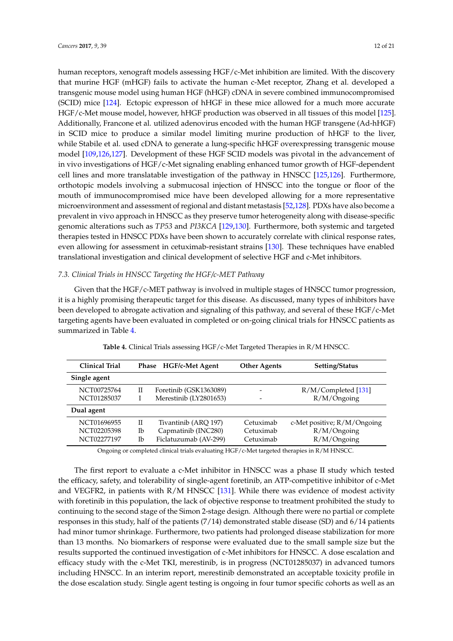human receptors, xenograft models assessing HGF/c-Met inhibition are limited. With the discovery that murine HGF (mHGF) fails to activate the human c-Met receptor, Zhang et al. developed a transgenic mouse model using human HGF (hHGF) cDNA in severe combined immunocompromised (SCID) mice [\[124\]](#page-19-10). Ectopic expresson of hHGF in these mice allowed for a much more accurate HGF/c-Met mouse model, however, hHGF production was observed in all tissues of this model [\[125\]](#page-19-11). Additionally, Francone et al. utilized adenovirus encoded with the human HGF transgene (Ad-hHGF) in SCID mice to produce a similar model limiting murine production of hHGF to the liver, while Stabile et al. used cDNA to generate a lung-specific hHGF overexpressing transgenic mouse model [\[109](#page-18-10)[,126](#page-19-12)[,127\]](#page-19-13). Development of these HGF SCID models was pivotal in the advancement of in vivo investigations of HGF/c-Met signaling enabling enhanced tumor growth of HGF-dependent cell lines and more translatable investigation of the pathway in HNSCC [\[125](#page-19-11)[,126\]](#page-19-12). Furthermore, orthotopic models involving a submucosal injection of HNSCC into the tongue or floor of the mouth of immunocompromised mice have been developed allowing for a more representative microenvironment and assessment of regional and distant metastasis [\[52,](#page-15-7)[128\]](#page-19-14). PDXs have also become a prevalent in vivo approach in HNSCC as they preserve tumor heterogeneity along with disease-specific genomic alterations such as *TP53* and *PI3KCA* [\[129](#page-19-15)[,130\]](#page-20-0). Furthermore, both systemic and targeted therapies tested in HNSCC PDXs have been shown to accurately correlate with clinical response rates, even allowing for assessment in cetuximab-resistant strains [\[130\]](#page-20-0). These techniques have enabled translational investigation and clinical development of selective HGF and c-Met inhibitors.

# *7.3. Clinical Trials in HNSCC Targeting the HGF/c-MET Pathway*

Given that the HGF/c-MET pathway is involved in multiple stages of HNSCC tumor progression, it is a highly promising therapeutic target for this disease. As discussed, many types of inhibitors have been developed to abrogate activation and signaling of this pathway, and several of these HGF/c-Met targeting agents have been evaluated in completed or on-going clinical trials for HNSCC patients as summarized in Table [4.](#page-11-0)

<span id="page-11-0"></span>

| Clinical Trial                            |               | Phase HGF/c-Met Agent                                                | <b>Other Agents</b>                 | <b>Setting/Status</b>                                        |
|-------------------------------------------|---------------|----------------------------------------------------------------------|-------------------------------------|--------------------------------------------------------------|
| Single agent                              |               |                                                                      |                                     |                                                              |
| NCT00725764<br>NCT01285037                | П             | Foretinib (GSK1363089)<br>Merestinib (LY2801653)                     | -                                   | R/M/Completed [131]<br>R/M/Ongoing                           |
| Dual agent                                |               |                                                                      |                                     |                                                              |
| NCT01696955<br>NCT02205398<br>NCT02277197 | П<br>Тb<br>Ib | Tivantinib (ARQ 197)<br>Capmatinib (INC280)<br>Ficlatuzumab (AV-299) | Cetuximab<br>Cetuximab<br>Cetuximab | c-Met positive; $R/M/O$ ngoing<br>R/M/Ongoing<br>R/M/Ongoing |

**Table 4.** Clinical Trials assessing HGF/c-Met Targeted Therapies in R/M HNSCC.

Ongoing or completed clinical trials evaluating HGF/c-Met targeted therapies in R/M HNSCC.

The first report to evaluate a c-Met inhibitor in HNSCC was a phase II study which tested the efficacy, safety, and tolerability of single-agent foretinib, an ATP-competitive inhibitor of c-Met and VEGFR2, in patients with  $R/M$  HNSCC [\[131\]](#page-20-1). While there was evidence of modest activity with foretinib in this population, the lack of objective response to treatment prohibited the study to continuing to the second stage of the Simon 2-stage design. Although there were no partial or complete responses in this study, half of the patients (7/14) demonstrated stable disease (SD) and 6/14 patients had minor tumor shrinkage. Furthermore, two patients had prolonged disease stabilization for more than 13 months. No biomarkers of response were evaluated due to the small sample size but the results supported the continued investigation of c-Met inhibitors for HNSCC. A dose escalation and efficacy study with the c-Met TKI, merestinib, is in progress (NCT01285037) in advanced tumors including HNSCC. In an interim report, merestinib demonstrated an acceptable toxicity profile in the dose escalation study. Single agent testing is ongoing in four tumor specific cohorts as well as an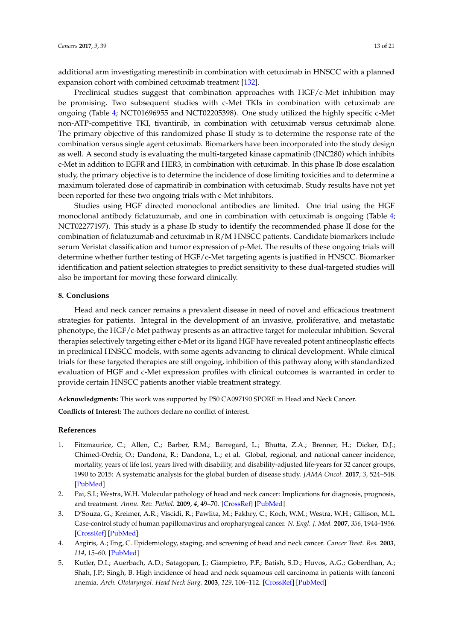additional arm investigating merestinib in combination with cetuximab in HNSCC with a planned expansion cohort with combined cetuximab treatment [\[132\]](#page-20-2).

Preclinical studies suggest that combination approaches with HGF/c-Met inhibition may be promising. Two subsequent studies with c-Met TKIs in combination with cetuximab are ongoing (Table [4;](#page-11-0) NCT01696955 and NCT02205398). One study utilized the highly specific c-Met non-ATP-competitive TKI, tivantinib, in combination with cetuximab versus cetuximab alone. The primary objective of this randomized phase II study is to determine the response rate of the combination versus single agent cetuximab. Biomarkers have been incorporated into the study design as well. A second study is evaluating the multi-targeted kinase capmatinib (INC280) which inhibits c-Met in addition to EGFR and HER3, in combination with cetuximab. In this phase Ib dose escalation study, the primary objective is to determine the incidence of dose limiting toxicities and to determine a maximum tolerated dose of capmatinib in combination with cetuximab. Study results have not yet been reported for these two ongoing trials with c-Met inhibitors.

Studies using HGF directed monoclonal antibodies are limited. One trial using the HGF monoclonal antibody ficlatuzumab, and one in combination with cetuximab is ongoing (Table [4;](#page-11-0) NCT02277197). This study is a phase Ib study to identify the recommended phase II dose for the combination of ficlatuzumab and cetuximab in R/M HNSCC patients. Candidate biomarkers include serum Veristat classification and tumor expression of p-Met. The results of these ongoing trials will determine whether further testing of HGF/c-Met targeting agents is justified in HNSCC. Biomarker identification and patient selection strategies to predict sensitivity to these dual-targeted studies will also be important for moving these forward clinically.

# **8. Conclusions**

Head and neck cancer remains a prevalent disease in need of novel and efficacious treatment strategies for patients. Integral in the development of an invasive, proliferative, and metastatic phenotype, the HGF/c-Met pathway presents as an attractive target for molecular inhibition. Several therapies selectively targeting either c-Met or its ligand HGF have revealed potent antineoplastic effects in preclinical HNSCC models, with some agents advancing to clinical development. While clinical trials for these targeted therapies are still ongoing, inhibition of this pathway along with standardized evaluation of HGF and c-Met expression profiles with clinical outcomes is warranted in order to provide certain HNSCC patients another viable treatment strategy.

**Acknowledgments:** This work was supported by P50 CA097190 SPORE in Head and Neck Cancer.

**Conflicts of Interest:** The authors declare no conflict of interest.

# **References**

- <span id="page-12-0"></span>1. Fitzmaurice, C.; Allen, C.; Barber, R.M.; Barregard, L.; Bhutta, Z.A.; Brenner, H.; Dicker, D.J.; Chimed-Orchir, O.; Dandona, R.; Dandona, L.; et al. Global, regional, and national cancer incidence, mortality, years of life lost, years lived with disability, and disability-adjusted life-years for 32 cancer groups, 1990 to 2015: A systematic analysis for the global burden of disease study. *JAMA Oncol.* **2017**, *3*, 524–548. [\[PubMed\]](http://www.ncbi.nlm.nih.gov/pubmed/27918777)
- <span id="page-12-1"></span>2. Pai, S.I.; Westra, W.H. Molecular pathology of head and neck cancer: Implications for diagnosis, prognosis, and treatment. *Annu. Rev. Pathol.* **2009**, *4*, 49–70. [\[CrossRef\]](http://dx.doi.org/10.1146/annurev.pathol.4.110807.092158) [\[PubMed\]](http://www.ncbi.nlm.nih.gov/pubmed/18729723)
- <span id="page-12-2"></span>3. D'Souza, G.; Kreimer, A.R.; Viscidi, R.; Pawlita, M.; Fakhry, C.; Koch, W.M.; Westra, W.H.; Gillison, M.L. Case-control study of human papillomavirus and oropharyngeal cancer. *N. Engl. J. Med.* **2007**, *356*, 1944–1956. [\[CrossRef\]](http://dx.doi.org/10.1056/NEJMoa065497) [\[PubMed\]](http://www.ncbi.nlm.nih.gov/pubmed/17494927)
- 4. Argiris, A.; Eng, C. Epidemiology, staging, and screening of head and neck cancer. *Cancer Treat. Res.* **2003**, *114*, 15–60. [\[PubMed\]](http://www.ncbi.nlm.nih.gov/pubmed/12619537)
- <span id="page-12-3"></span>5. Kutler, D.I.; Auerbach, A.D.; Satagopan, J.; Giampietro, P.F.; Batish, S.D.; Huvos, A.G.; Goberdhan, A.; Shah, J.P.; Singh, B. High incidence of head and neck squamous cell carcinoma in patients with fanconi anemia. *Arch. Otolaryngol. Head Neck Surg.* **2003**, *129*, 106–112. [\[CrossRef\]](http://dx.doi.org/10.1001/archotol.129.1.106) [\[PubMed\]](http://www.ncbi.nlm.nih.gov/pubmed/12525204)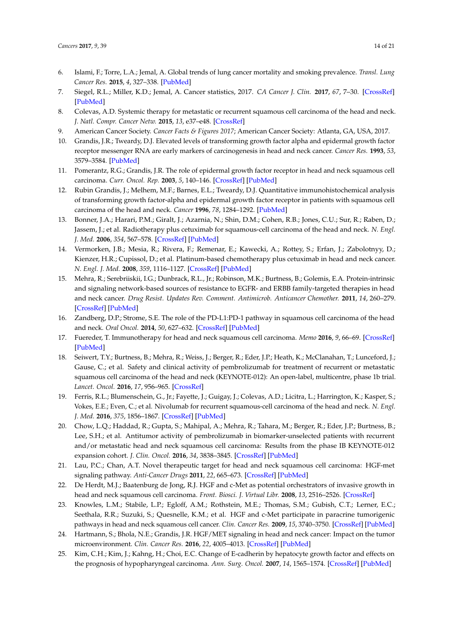- <span id="page-13-0"></span>6. Islami, F.; Torre, L.A.; Jemal, A. Global trends of lung cancer mortality and smoking prevalence. *Transl. Lung Cancer Res.* **2015**, *4*, 327–338. [\[PubMed\]](http://www.ncbi.nlm.nih.gov/pubmed/26380174)
- <span id="page-13-1"></span>7. Siegel, R.L.; Miller, K.D.; Jemal, A. Cancer statistics, 2017. *CA Cancer J. Clin.* **2017**, *67*, 7–30. [\[CrossRef\]](http://dx.doi.org/10.3322/caac.21387) [\[PubMed\]](http://www.ncbi.nlm.nih.gov/pubmed/28055103)
- <span id="page-13-2"></span>8. Colevas, A.D. Systemic therapy for metastatic or recurrent squamous cell carcinoma of the head and neck. *J. Natl. Compr. Cancer Netw.* **2015**, *13*, e37–e48. [\[CrossRef\]](http://dx.doi.org/10.6004/jnccn.2015.0080)
- <span id="page-13-3"></span>9. American Cancer Society. *Cancer Facts & Figures 2017*; American Cancer Society: Atlanta, GA, USA, 2017.
- <span id="page-13-4"></span>10. Grandis, J.R.; Tweardy, D.J. Elevated levels of transforming growth factor alpha and epidermal growth factor receptor messenger RNA are early markers of carcinogenesis in head and neck cancer. *Cancer Res.* **1993**, *53*, 3579–3584. [\[PubMed\]](http://www.ncbi.nlm.nih.gov/pubmed/8339264)
- <span id="page-13-17"></span>11. Pomerantz, R.G.; Grandis, J.R. The role of epidermal growth factor receptor in head and neck squamous cell carcinoma. *Curr. Oncol. Rep.* **2003**, *5*, 140–146. [\[CrossRef\]](http://dx.doi.org/10.1007/s11912-003-0101-z) [\[PubMed\]](http://www.ncbi.nlm.nih.gov/pubmed/12583831)
- <span id="page-13-5"></span>12. Rubin Grandis, J.; Melhem, M.F.; Barnes, E.L.; Tweardy, D.J. Quantitative immunohistochemical analysis of transforming growth factor-alpha and epidermal growth factor receptor in patients with squamous cell carcinoma of the head and neck. *Cancer* **1996**, *78*, 1284–1292. [\[PubMed\]](http://www.ncbi.nlm.nih.gov/pubmed/8826952)
- <span id="page-13-6"></span>13. Bonner, J.A.; Harari, P.M.; Giralt, J.; Azarnia, N.; Shin, D.M.; Cohen, R.B.; Jones, C.U.; Sur, R.; Raben, D.; Jassem, J.; et al. Radiotherapy plus cetuximab for squamous-cell carcinoma of the head and neck. *N. Engl. J. Med.* **2006**, *354*, 567–578. [\[CrossRef\]](http://dx.doi.org/10.1056/NEJMoa053422) [\[PubMed\]](http://www.ncbi.nlm.nih.gov/pubmed/16467544)
- <span id="page-13-7"></span>14. Vermorken, J.B.; Mesia, R.; Rivera, F.; Remenar, E.; Kawecki, A.; Rottey, S.; Erfan, J.; Zabolotnyy, D.; Kienzer, H.R.; Cupissol, D.; et al. Platinum-based chemotherapy plus cetuximab in head and neck cancer. *N. Engl. J. Med.* **2008**, *359*, 1116–1127. [\[CrossRef\]](http://dx.doi.org/10.1056/NEJMoa0802656) [\[PubMed\]](http://www.ncbi.nlm.nih.gov/pubmed/18784101)
- <span id="page-13-8"></span>15. Mehra, R.; Serebriiskii, I.G.; Dunbrack, R.L., Jr.; Robinson, M.K.; Burtness, B.; Golemis, E.A. Protein-intrinsic and signaling network-based sources of resistance to EGFR- and ERBB family-targeted therapies in head and neck cancer. *Drug Resist. Updates Rev. Comment. Antimicrob. Anticancer Chemother.* **2011**, *14*, 260–279. [\[CrossRef\]](http://dx.doi.org/10.1016/j.drup.2011.08.002) [\[PubMed\]](http://www.ncbi.nlm.nih.gov/pubmed/21920801)
- <span id="page-13-9"></span>16. Zandberg, D.P.; Strome, S.E. The role of the PD-L1:PD-1 pathway in squamous cell carcinoma of the head and neck. *Oral Oncol.* **2014**, *50*, 627–632. [\[CrossRef\]](http://dx.doi.org/10.1016/j.oraloncology.2014.04.003) [\[PubMed\]](http://www.ncbi.nlm.nih.gov/pubmed/24819861)
- <span id="page-13-10"></span>17. Fuereder, T. Immunotherapy for head and neck squamous cell carcinoma. *Memo* **2016**, *9*, 66–69. [\[CrossRef\]](http://dx.doi.org/10.1007/s12254-016-0270-8) [\[PubMed\]](http://www.ncbi.nlm.nih.gov/pubmed/27429658)
- <span id="page-13-11"></span>18. Seiwert, T.Y.; Burtness, B.; Mehra, R.; Weiss, J.; Berger, R.; Eder, J.P.; Heath, K.; McClanahan, T.; Lunceford, J.; Gause, C.; et al. Safety and clinical activity of pembrolizumab for treatment of recurrent or metastatic squamous cell carcinoma of the head and neck (KEYNOTE-012): An open-label, multicentre, phase 1b trial. *Lancet. Oncol.* **2016**, *17*, 956–965. [\[CrossRef\]](http://dx.doi.org/10.1016/S1470-2045(16)30066-3)
- 19. Ferris, R.L.; Blumenschein, G., Jr.; Fayette, J.; Guigay, J.; Colevas, A.D.; Licitra, L.; Harrington, K.; Kasper, S.; Vokes, E.E.; Even, C.; et al. Nivolumab for recurrent squamous-cell carcinoma of the head and neck. *N. Engl. J. Med.* **2016**, *375*, 1856–1867. [\[CrossRef\]](http://dx.doi.org/10.1056/NEJMoa1602252) [\[PubMed\]](http://www.ncbi.nlm.nih.gov/pubmed/27718784)
- <span id="page-13-12"></span>20. Chow, L.Q.; Haddad, R.; Gupta, S.; Mahipal, A.; Mehra, R.; Tahara, M.; Berger, R.; Eder, J.P.; Burtness, B.; Lee, S.H.; et al. Antitumor activity of pembrolizumab in biomarker-unselected patients with recurrent and/or metastatic head and neck squamous cell carcinoma: Results from the phase IB KEYNOTE-012 expansion cohort. *J. Clin. Oncol.* **2016**, *34*, 3838–3845. [\[CrossRef\]](http://dx.doi.org/10.1200/JCO.2016.68.1478) [\[PubMed\]](http://www.ncbi.nlm.nih.gov/pubmed/27646946)
- <span id="page-13-13"></span>21. Lau, P.C.; Chan, A.T. Novel therapeutic target for head and neck squamous cell carcinoma: HGF-met signaling pathway. *Anti-Cancer Drugs* **2011**, *22*, 665–673. [\[CrossRef\]](http://dx.doi.org/10.1097/CAD.0b013e328341879d) [\[PubMed\]](http://www.ncbi.nlm.nih.gov/pubmed/21709616)
- <span id="page-13-14"></span>22. De Herdt, M.J.; Baatenburg de Jong, R.J. HGF and c-Met as potential orchestrators of invasive growth in head and neck squamous cell carcinoma. *Front. Biosci. J. Virtual Libr.* **2008**, *13*, 2516–2526. [\[CrossRef\]](http://dx.doi.org/10.2741/2863)
- <span id="page-13-15"></span>23. Knowles, L.M.; Stabile, L.P.; Egloff, A.M.; Rothstein, M.E.; Thomas, S.M.; Gubish, C.T.; Lerner, E.C.; Seethala, R.R.; Suzuki, S.; Quesnelle, K.M.; et al. HGF and c-Met participate in paracrine tumorigenic pathways in head and neck squamous cell cancer. *Clin. Cancer Res.* **2009**, *15*, 3740–3750. [\[CrossRef\]](http://dx.doi.org/10.1158/1078-0432.CCR-08-3252) [\[PubMed\]](http://www.ncbi.nlm.nih.gov/pubmed/19470725)
- 24. Hartmann, S.; Bhola, N.E.; Grandis, J.R. HGF/MET signaling in head and neck cancer: Impact on the tumor microenvironment. *Clin. Cancer Res.* **2016**, *22*, 4005–4013. [\[CrossRef\]](http://dx.doi.org/10.1158/1078-0432.CCR-16-0951) [\[PubMed\]](http://www.ncbi.nlm.nih.gov/pubmed/27370607)
- <span id="page-13-16"></span>25. Kim, C.H.; Kim, J.; Kahng, H.; Choi, E.C. Change of E-cadherin by hepatocyte growth factor and effects on the prognosis of hypopharyngeal carcinoma. *Ann. Surg. Oncol.* **2007**, *14*, 1565–1574. [\[CrossRef\]](http://dx.doi.org/10.1245/s10434-006-9320-5) [\[PubMed\]](http://www.ncbi.nlm.nih.gov/pubmed/17294073)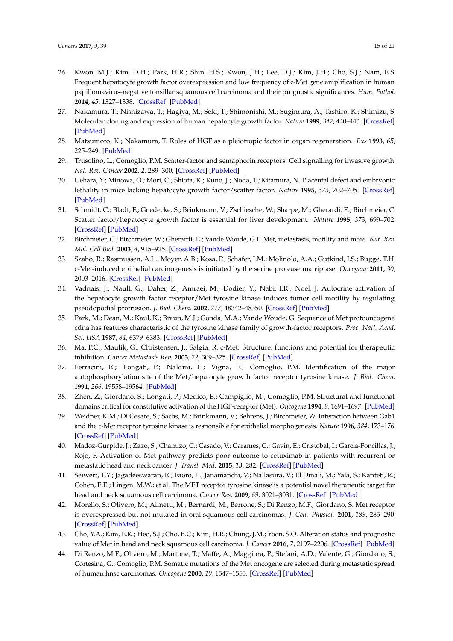- <span id="page-14-0"></span>26. Kwon, M.J.; Kim, D.H.; Park, H.R.; Shin, H.S.; Kwon, J.H.; Lee, D.J.; Kim, J.H.; Cho, S.J.; Nam, E.S. Frequent hepatocyte growth factor overexpression and low frequency of c-Met gene amplification in human papillomavirus-negative tonsillar squamous cell carcinoma and their prognostic significances. *Hum. Pathol.* **2014**, *45*, 1327–1338. [\[CrossRef\]](http://dx.doi.org/10.1016/j.humpath.2014.03.003) [\[PubMed\]](http://www.ncbi.nlm.nih.gov/pubmed/24810547)
- <span id="page-14-1"></span>27. Nakamura, T.; Nishizawa, T.; Hagiya, M.; Seki, T.; Shimonishi, M.; Sugimura, A.; Tashiro, K.; Shimizu, S. Molecular cloning and expression of human hepatocyte growth factor. *Nature* **1989**, *342*, 440–443. [\[CrossRef\]](http://dx.doi.org/10.1038/342440a0) [\[PubMed\]](http://www.ncbi.nlm.nih.gov/pubmed/2531289)
- <span id="page-14-2"></span>28. Matsumoto, K.; Nakamura, T. Roles of HGF as a pleiotropic factor in organ regeneration. *Exs* **1993**, *65*, 225–249. [\[PubMed\]](http://www.ncbi.nlm.nih.gov/pubmed/8422545)
- 29. Trusolino, L.; Comoglio, P.M. Scatter-factor and semaphorin receptors: Cell signalling for invasive growth. *Nat. Rev. Cancer* **2002**, *2*, 289–300. [\[CrossRef\]](http://dx.doi.org/10.1038/nrc779) [\[PubMed\]](http://www.ncbi.nlm.nih.gov/pubmed/12001990)
- 30. Uehara, Y.; Minowa, O.; Mori, C.; Shiota, K.; Kuno, J.; Noda, T.; Kitamura, N. Placental defect and embryonic lethality in mice lacking hepatocyte growth factor/scatter factor. *Nature* **1995**, *373*, 702–705. [\[CrossRef\]](http://dx.doi.org/10.1038/373702a0) [\[PubMed\]](http://www.ncbi.nlm.nih.gov/pubmed/7854453)
- <span id="page-14-3"></span>31. Schmidt, C.; Bladt, F.; Goedecke, S.; Brinkmann, V.; Zschiesche, W.; Sharpe, M.; Gherardi, E.; Birchmeier, C. Scatter factor/hepatocyte growth factor is essential for liver development. *Nature* **1995**, *373*, 699–702. [\[CrossRef\]](http://dx.doi.org/10.1038/373699a0) [\[PubMed\]](http://www.ncbi.nlm.nih.gov/pubmed/7854452)
- <span id="page-14-4"></span>32. Birchmeier, C.; Birchmeier, W.; Gherardi, E.; Vande Woude, G.F. Met, metastasis, motility and more. *Nat. Rev. Mol. Cell Biol.* **2003**, *4*, 915–925. [\[CrossRef\]](http://dx.doi.org/10.1038/nrm1261) [\[PubMed\]](http://www.ncbi.nlm.nih.gov/pubmed/14685170)
- <span id="page-14-5"></span>33. Szabo, R.; Rasmussen, A.L.; Moyer, A.B.; Kosa, P.; Schafer, J.M.; Molinolo, A.A.; Gutkind, J.S.; Bugge, T.H. c-Met-induced epithelial carcinogenesis is initiated by the serine protease matriptase. *Oncogene* **2011**, *30*, 2003–2016. [\[CrossRef\]](http://dx.doi.org/10.1038/onc.2010.586) [\[PubMed\]](http://www.ncbi.nlm.nih.gov/pubmed/21217780)
- <span id="page-14-6"></span>34. Vadnais, J.; Nault, G.; Daher, Z.; Amraei, M.; Dodier, Y.; Nabi, I.R.; Noel, J. Autocrine activation of the hepatocyte growth factor receptor/Met tyrosine kinase induces tumor cell motility by regulating pseudopodial protrusion. *J. Biol. Chem.* **2002**, *277*, 48342–48350. [\[CrossRef\]](http://dx.doi.org/10.1074/jbc.M209481200) [\[PubMed\]](http://www.ncbi.nlm.nih.gov/pubmed/12372820)
- <span id="page-14-7"></span>35. Park, M.; Dean, M.; Kaul, K.; Braun, M.J.; Gonda, M.A.; Vande Woude, G. Sequence of Met protooncogene cdna has features characteristic of the tyrosine kinase family of growth-factor receptors. *Proc. Natl. Acad. Sci. USA* **1987**, *84*, 6379–6383. [\[CrossRef\]](http://dx.doi.org/10.1073/pnas.84.18.6379) [\[PubMed\]](http://www.ncbi.nlm.nih.gov/pubmed/2819873)
- <span id="page-14-8"></span>36. Ma, P.C.; Maulik, G.; Christensen, J.; Salgia, R. c-Met: Structure, functions and potential for therapeutic inhibition. *Cancer Metastasis Rev.* **2003**, *22*, 309–325. [\[CrossRef\]](http://dx.doi.org/10.1023/A:1023768811842) [\[PubMed\]](http://www.ncbi.nlm.nih.gov/pubmed/12884908)
- <span id="page-14-9"></span>37. Ferracini, R.; Longati, P.; Naldini, L.; Vigna, E.; Comoglio, P.M. Identification of the major autophosphorylation site of the Met/hepatocyte growth factor receptor tyrosine kinase. *J. Biol. Chem.* **1991**, *266*, 19558–19564. [\[PubMed\]](http://www.ncbi.nlm.nih.gov/pubmed/1655790)
- <span id="page-14-10"></span>38. Zhen, Z.; Giordano, S.; Longati, P.; Medico, E.; Campiglio, M.; Comoglio, P.M. Structural and functional domains critical for constitutive activation of the HGF-receptor (Met). *Oncogene* **1994**, *9*, 1691–1697. [\[PubMed\]](http://www.ncbi.nlm.nih.gov/pubmed/8183564)
- <span id="page-14-11"></span>39. Weidner, K.M.; Di Cesare, S.; Sachs, M.; Brinkmann, V.; Behrens, J.; Birchmeier, W. Interaction between Gab1 and the c-Met receptor tyrosine kinase is responsible for epithelial morphogenesis. *Nature* **1996**, *384*, 173–176. [\[CrossRef\]](http://dx.doi.org/10.1038/384173a0) [\[PubMed\]](http://www.ncbi.nlm.nih.gov/pubmed/8906793)
- <span id="page-14-12"></span>40. Madoz-Gurpide, J.; Zazo, S.; Chamizo, C.; Casado, V.; Carames, C.; Gavin, E.; Cristobal, I.; Garcia-Foncillas, J.; Rojo, F. Activation of Met pathway predicts poor outcome to cetuximab in patients with recurrent or metastatic head and neck cancer. *J. Transl. Med.* **2015**, *13*, 282. [\[CrossRef\]](http://dx.doi.org/10.1186/s12967-015-0633-7) [\[PubMed\]](http://www.ncbi.nlm.nih.gov/pubmed/26319934)
- <span id="page-14-14"></span>41. Seiwert, T.Y.; Jagadeeswaran, R.; Faoro, L.; Janamanchi, V.; Nallasura, V.; El Dinali, M.; Yala, S.; Kanteti, R.; Cohen, E.E.; Lingen, M.W.; et al. The MET receptor tyrosine kinase is a potential novel therapeutic target for head and neck squamous cell carcinoma. *Cancer Res.* **2009**, *69*, 3021–3031. [\[CrossRef\]](http://dx.doi.org/10.1158/0008-5472.CAN-08-2881) [\[PubMed\]](http://www.ncbi.nlm.nih.gov/pubmed/19318576)
- <span id="page-14-13"></span>42. Morello, S.; Olivero, M.; Aimetti, M.; Bernardi, M.; Berrone, S.; Di Renzo, M.F.; Giordano, S. Met receptor is overexpressed but not mutated in oral squamous cell carcinomas. *J. Cell. Physiol.* **2001**, *189*, 285–290. [\[CrossRef\]](http://dx.doi.org/10.1002/jcp.10010) [\[PubMed\]](http://www.ncbi.nlm.nih.gov/pubmed/11748586)
- <span id="page-14-15"></span>43. Cho, Y.A.; Kim, E.K.; Heo, S.J.; Cho, B.C.; Kim, H.R.; Chung, J.M.; Yoon, S.O. Alteration status and prognostic value of Met in head and neck squamous cell carcinoma. *J. Cancer* **2016**, *7*, 2197–2206. [\[CrossRef\]](http://dx.doi.org/10.7150/jca.16686) [\[PubMed\]](http://www.ncbi.nlm.nih.gov/pubmed/27994655)
- <span id="page-14-16"></span>44. Di Renzo, M.F.; Olivero, M.; Martone, T.; Maffe, A.; Maggiora, P.; Stefani, A.D.; Valente, G.; Giordano, S.; Cortesina, G.; Comoglio, P.M. Somatic mutations of the Met oncogene are selected during metastatic spread of human hnsc carcinomas. *Oncogene* **2000**, *19*, 1547–1555. [\[CrossRef\]](http://dx.doi.org/10.1038/sj.onc.1203455) [\[PubMed\]](http://www.ncbi.nlm.nih.gov/pubmed/10734314)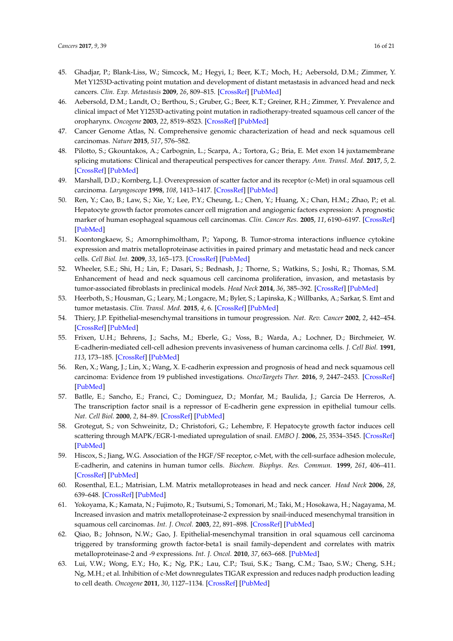- <span id="page-15-0"></span>45. Ghadjar, P.; Blank-Liss, W.; Simcock, M.; Hegyi, I.; Beer, K.T.; Moch, H.; Aebersold, D.M.; Zimmer, Y. Met Y1253D-activating point mutation and development of distant metastasis in advanced head and neck cancers. *Clin. Exp. Metastasis* **2009**, *26*, 809–815. [\[CrossRef\]](http://dx.doi.org/10.1007/s10585-009-9280-9) [\[PubMed\]](http://www.ncbi.nlm.nih.gov/pubmed/19639388)
- <span id="page-15-1"></span>46. Aebersold, D.M.; Landt, O.; Berthou, S.; Gruber, G.; Beer, K.T.; Greiner, R.H.; Zimmer, Y. Prevalence and clinical impact of Met Y1253D-activating point mutation in radiotherapy-treated squamous cell cancer of the oropharynx. *Oncogene* **2003**, *22*, 8519–8523. [\[CrossRef\]](http://dx.doi.org/10.1038/sj.onc.1206968) [\[PubMed\]](http://www.ncbi.nlm.nih.gov/pubmed/14627992)
- <span id="page-15-2"></span>47. Cancer Genome Atlas, N. Comprehensive genomic characterization of head and neck squamous cell carcinomas. *Nature* **2015**, *517*, 576–582.
- <span id="page-15-3"></span>48. Pilotto, S.; Gkountakos, A.; Carbognin, L.; Scarpa, A.; Tortora, G.; Bria, E. Met exon 14 juxtamembrane splicing mutations: Clinical and therapeutical perspectives for cancer therapy. *Ann. Transl. Med.* **2017**, *5*, 2. [\[CrossRef\]](http://dx.doi.org/10.21037/atm.2016.12.33) [\[PubMed\]](http://www.ncbi.nlm.nih.gov/pubmed/28164087)
- <span id="page-15-4"></span>49. Marshall, D.D.; Kornberg, L.J. Overexpression of scatter factor and its receptor (c-Met) in oral squamous cell carcinoma. *Laryngoscope* **1998**, *108*, 1413–1417. [\[CrossRef\]](http://dx.doi.org/10.1097/00005537-199809000-00031) [\[PubMed\]](http://www.ncbi.nlm.nih.gov/pubmed/9738769)
- <span id="page-15-5"></span>50. Ren, Y.; Cao, B.; Law, S.; Xie, Y.; Lee, P.Y.; Cheung, L.; Chen, Y.; Huang, X.; Chan, H.M.; Zhao, P.; et al. Hepatocyte growth factor promotes cancer cell migration and angiogenic factors expression: A prognostic marker of human esophageal squamous cell carcinomas. *Clin. Cancer Res.* **2005**, *11*, 6190–6197. [\[CrossRef\]](http://dx.doi.org/10.1158/1078-0432.CCR-04-2553) [\[PubMed\]](http://www.ncbi.nlm.nih.gov/pubmed/16144920)
- <span id="page-15-6"></span>51. Koontongkaew, S.; Amornphimoltham, P.; Yapong, B. Tumor-stroma interactions influence cytokine expression and matrix metalloproteinase activities in paired primary and metastatic head and neck cancer cells. *Cell Biol. Int.* **2009**, *33*, 165–173. [\[CrossRef\]](http://dx.doi.org/10.1016/j.cellbi.2008.10.009) [\[PubMed\]](http://www.ncbi.nlm.nih.gov/pubmed/18996211)
- <span id="page-15-7"></span>52. Wheeler, S.E.; Shi, H.; Lin, F.; Dasari, S.; Bednash, J.; Thorne, S.; Watkins, S.; Joshi, R.; Thomas, S.M. Enhancement of head and neck squamous cell carcinoma proliferation, invasion, and metastasis by tumor-associated fibroblasts in preclinical models. *Head Neck* **2014**, *36*, 385–392. [\[CrossRef\]](http://dx.doi.org/10.1002/hed.23312) [\[PubMed\]](http://www.ncbi.nlm.nih.gov/pubmed/23728942)
- <span id="page-15-8"></span>53. Heerboth, S.; Housman, G.; Leary, M.; Longacre, M.; Byler, S.; Lapinska, K.; Willbanks, A.; Sarkar, S. Emt and tumor metastasis. *Clin. Transl. Med.* **2015**, *4*, 6. [\[CrossRef\]](http://dx.doi.org/10.1186/s40169-015-0048-3) [\[PubMed\]](http://www.ncbi.nlm.nih.gov/pubmed/25852822)
- <span id="page-15-9"></span>54. Thiery, J.P. Epithelial-mesenchymal transitions in tumour progression. *Nat. Rev. Cancer* **2002**, *2*, 442–454. [\[CrossRef\]](http://dx.doi.org/10.1038/nrc822) [\[PubMed\]](http://www.ncbi.nlm.nih.gov/pubmed/12189386)
- <span id="page-15-10"></span>55. Frixen, U.H.; Behrens, J.; Sachs, M.; Eberle, G.; Voss, B.; Warda, A.; Lochner, D.; Birchmeier, W. E-cadherin-mediated cell-cell adhesion prevents invasiveness of human carcinoma cells. *J. Cell Biol.* **1991**, *113*, 173–185. [\[CrossRef\]](http://dx.doi.org/10.1083/jcb.113.1.173) [\[PubMed\]](http://www.ncbi.nlm.nih.gov/pubmed/2007622)
- <span id="page-15-11"></span>56. Ren, X.; Wang, J.; Lin, X.; Wang, X. E-cadherin expression and prognosis of head and neck squamous cell carcinoma: Evidence from 19 published investigations. *OncoTargets Ther.* **2016**, *9*, 2447–2453. [\[CrossRef\]](http://dx.doi.org/10.2147/OTT.S98577) [\[PubMed\]](http://www.ncbi.nlm.nih.gov/pubmed/27217768)
- <span id="page-15-12"></span>57. Batlle, E.; Sancho, E.; Franci, C.; Dominguez, D.; Monfar, M.; Baulida, J.; Garcia De Herreros, A. The transcription factor snail is a repressor of E-cadherin gene expression in epithelial tumour cells. *Nat. Cell Biol.* **2000**, *2*, 84–89. [\[CrossRef\]](http://dx.doi.org/10.1038/35000034) [\[PubMed\]](http://www.ncbi.nlm.nih.gov/pubmed/10655587)
- <span id="page-15-13"></span>58. Grotegut, S.; von Schweinitz, D.; Christofori, G.; Lehembre, F. Hepatocyte growth factor induces cell scattering through MAPK/EGR-1-mediated upregulation of snail. *EMBO J.* **2006**, *25*, 3534–3545. [\[CrossRef\]](http://dx.doi.org/10.1038/sj.emboj.7601213) [\[PubMed\]](http://www.ncbi.nlm.nih.gov/pubmed/16858414)
- <span id="page-15-14"></span>59. Hiscox, S.; Jiang, W.G. Association of the HGF/SF receptor, c-Met, with the cell-surface adhesion molecule, E-cadherin, and catenins in human tumor cells. *Biochem. Biophys. Res. Commun.* **1999**, *261*, 406–411. [\[CrossRef\]](http://dx.doi.org/10.1006/bbrc.1999.1002) [\[PubMed\]](http://www.ncbi.nlm.nih.gov/pubmed/10425198)
- <span id="page-15-15"></span>60. Rosenthal, E.L.; Matrisian, L.M. Matrix metalloproteases in head and neck cancer. *Head Neck* **2006**, *28*, 639–648. [\[CrossRef\]](http://dx.doi.org/10.1002/hed.20365) [\[PubMed\]](http://www.ncbi.nlm.nih.gov/pubmed/16470875)
- <span id="page-15-16"></span>61. Yokoyama, K.; Kamata, N.; Fujimoto, R.; Tsutsumi, S.; Tomonari, M.; Taki, M.; Hosokawa, H.; Nagayama, M. Increased invasion and matrix metalloproteinase-2 expression by snail-induced mesenchymal transition in squamous cell carcinomas. *Int. J. Oncol.* **2003**, *22*, 891–898. [\[CrossRef\]](http://dx.doi.org/10.3892/ijo.22.4.891) [\[PubMed\]](http://www.ncbi.nlm.nih.gov/pubmed/12632084)
- <span id="page-15-17"></span>62. Qiao, B.; Johnson, N.W.; Gao, J. Epithelial-mesenchymal transition in oral squamous cell carcinoma triggered by transforming growth factor-beta1 is snail family-dependent and correlates with matrix metalloproteinase-2 and -9 expressions. *Int. J. Oncol.* **2010**, *37*, 663–668. [\[PubMed\]](http://www.ncbi.nlm.nih.gov/pubmed/20664935)
- <span id="page-15-18"></span>63. Lui, V.W.; Wong, E.Y.; Ho, K.; Ng, P.K.; Lau, C.P.; Tsui, S.K.; Tsang, C.M.; Tsao, S.W.; Cheng, S.H.; Ng, M.H.; et al. Inhibition of c-Met downregulates TIGAR expression and reduces nadph production leading to cell death. *Oncogene* **2011**, *30*, 1127–1134. [\[CrossRef\]](http://dx.doi.org/10.1038/onc.2010.490) [\[PubMed\]](http://www.ncbi.nlm.nih.gov/pubmed/21057531)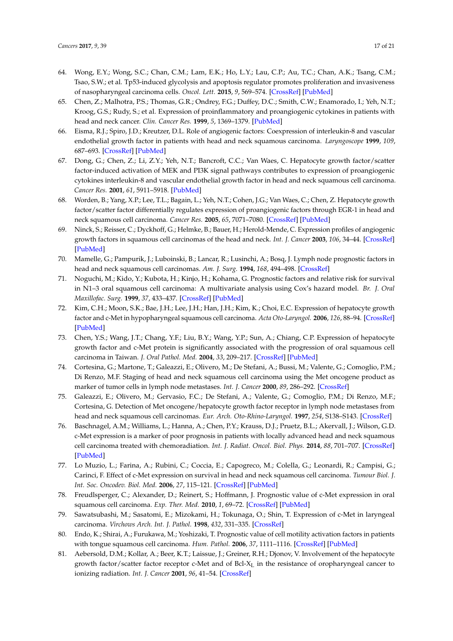- <span id="page-16-0"></span>64. Wong, E.Y.; Wong, S.C.; Chan, C.M.; Lam, E.K.; Ho, L.Y.; Lau, C.P.; Au, T.C.; Chan, A.K.; Tsang, C.M.; Tsao, S.W.; et al. Tp53-induced glycolysis and apoptosis regulator promotes proliferation and invasiveness of nasopharyngeal carcinoma cells. *Oncol. Lett.* **2015**, *9*, 569–574. [\[CrossRef\]](http://dx.doi.org/10.3892/ol.2014.2797) [\[PubMed\]](http://www.ncbi.nlm.nih.gov/pubmed/25621025)
- <span id="page-16-1"></span>65. Chen, Z.; Malhotra, P.S.; Thomas, G.R.; Ondrey, F.G.; Duffey, D.C.; Smith, C.W.; Enamorado, I.; Yeh, N.T.; Kroog, G.S.; Rudy, S.; et al. Expression of proinflammatory and proangiogenic cytokines in patients with head and neck cancer. *Clin. Cancer Res.* **1999**, *5*, 1369–1379. [\[PubMed\]](http://www.ncbi.nlm.nih.gov/pubmed/10389921)
- <span id="page-16-2"></span>66. Eisma, R.J.; Spiro, J.D.; Kreutzer, D.L. Role of angiogenic factors: Coexpression of interleukin-8 and vascular endothelial growth factor in patients with head and neck squamous carcinoma. *Laryngoscope* **1999**, *109*, 687–693. [\[CrossRef\]](http://dx.doi.org/10.1097/00005537-199905000-00002) [\[PubMed\]](http://www.ncbi.nlm.nih.gov/pubmed/10334214)
- <span id="page-16-3"></span>67. Dong, G.; Chen, Z.; Li, Z.Y.; Yeh, N.T.; Bancroft, C.C.; Van Waes, C. Hepatocyte growth factor/scatter factor-induced activation of MEK and PI3K signal pathways contributes to expression of proangiogenic cytokines interleukin-8 and vascular endothelial growth factor in head and neck squamous cell carcinoma. *Cancer Res.* **2001**, *61*, 5911–5918. [\[PubMed\]](http://www.ncbi.nlm.nih.gov/pubmed/11479233)
- <span id="page-16-4"></span>68. Worden, B.; Yang, X.P.; Lee, T.L.; Bagain, L.; Yeh, N.T.; Cohen, J.G.; Van Waes, C.; Chen, Z. Hepatocyte growth factor/scatter factor differentially regulates expression of proangiogenic factors through EGR-1 in head and neck squamous cell carcinoma. *Cancer Res.* **2005**, *65*, 7071–7080. [\[CrossRef\]](http://dx.doi.org/10.1158/0008-5472.CAN-04-0989) [\[PubMed\]](http://www.ncbi.nlm.nih.gov/pubmed/16103054)
- <span id="page-16-5"></span>69. Ninck, S.; Reisser, C.; Dyckhoff, G.; Helmke, B.; Bauer, H.; Herold-Mende, C. Expression profiles of angiogenic growth factors in squamous cell carcinomas of the head and neck. *Int. J. Cancer* **2003**, *106*, 34–44. [\[CrossRef\]](http://dx.doi.org/10.1002/ijc.11188) [\[PubMed\]](http://www.ncbi.nlm.nih.gov/pubmed/12794754)
- <span id="page-16-6"></span>70. Mamelle, G.; Pampurik, J.; Luboinski, B.; Lancar, R.; Lusinchi, A.; Bosq, J. Lymph node prognostic factors in head and neck squamous cell carcinomas. *Am. J. Surg.* **1994**, *168*, 494–498. [\[CrossRef\]](http://dx.doi.org/10.1016/S0002-9610(05)80109-6)
- <span id="page-16-7"></span>71. Noguchi, M.; Kido, Y.; Kubota, H.; Kinjo, H.; Kohama, G. Prognostic factors and relative risk for survival in N1–3 oral squamous cell carcinoma: A multivariate analysis using Cox's hazard model. *Br. J. Oral Maxillofac. Surg.* **1999**, *37*, 433–437. [\[CrossRef\]](http://dx.doi.org/10.1054/bjom.1999.0146) [\[PubMed\]](http://www.ncbi.nlm.nih.gov/pubmed/10687900)
- <span id="page-16-8"></span>72. Kim, C.H.; Moon, S.K.; Bae, J.H.; Lee, J.H.; Han, J.H.; Kim, K.; Choi, E.C. Expression of hepatocyte growth factor and c-Met in hypopharyngeal squamous cell carcinoma. *Acta Oto-Laryngol.* **2006**, *126*, 88–94. [\[CrossRef\]](http://dx.doi.org/10.1080/00016480510037014) [\[PubMed\]](http://www.ncbi.nlm.nih.gov/pubmed/16308260)
- <span id="page-16-9"></span>73. Chen, Y.S.; Wang, J.T.; Chang, Y.F.; Liu, B.Y.; Wang, Y.P.; Sun, A.; Chiang, C.P. Expression of hepatocyte growth factor and c-Met protein is significantly associated with the progression of oral squamous cell carcinoma in Taiwan. *J. Oral Pathol. Med.* **2004**, *33*, 209–217. [\[CrossRef\]](http://dx.doi.org/10.1111/j.0904-2512.2004.00118.x) [\[PubMed\]](http://www.ncbi.nlm.nih.gov/pubmed/15061708)
- <span id="page-16-10"></span>74. Cortesina, G.; Martone, T.; Galeazzi, E.; Olivero, M.; De Stefani, A.; Bussi, M.; Valente, G.; Comoglio, P.M.; Di Renzo, M.F. Staging of head and neck squamous cell carcinoma using the Met oncogene product as marker of tumor cells in lymph node metastases. *Int. J. Cancer* **2000**, *89*, 286–292. [\[CrossRef\]](http://dx.doi.org/10.1002/1097-0215(20000520)89:3<286::AID-IJC12>3.0.CO;2-U)
- <span id="page-16-11"></span>75. Galeazzi, E.; Olivero, M.; Gervasio, F.C.; De Stefani, A.; Valente, G.; Comoglio, P.M.; Di Renzo, M.F.; Cortesina, G. Detection of Met oncogene/hepatocyte growth factor receptor in lymph node metastases from head and neck squamous cell carcinomas. *Eur. Arch. Oto-Rhino-Laryngol.* **1997**, *254*, S138–S143. [\[CrossRef\]](http://dx.doi.org/10.1007/BF02439745)
- <span id="page-16-12"></span>76. Baschnagel, A.M.; Williams, L.; Hanna, A.; Chen, P.Y.; Krauss, D.J.; Pruetz, B.L.; Akervall, J.; Wilson, G.D. c-Met expression is a marker of poor prognosis in patients with locally advanced head and neck squamous cell carcinoma treated with chemoradiation. *Int. J. Radiat. Oncol. Biol. Phys.* **2014**, *88*, 701–707. [\[CrossRef\]](http://dx.doi.org/10.1016/j.ijrobp.2013.11.013) [\[PubMed\]](http://www.ncbi.nlm.nih.gov/pubmed/24521684)
- <span id="page-16-17"></span>77. Lo Muzio, L.; Farina, A.; Rubini, C.; Coccia, E.; Capogreco, M.; Colella, G.; Leonardi, R.; Campisi, G.; Carinci, F. Effect of c-Met expression on survival in head and neck squamous cell carcinoma. *Tumour Biol. J. Int. Soc. Oncodev. Biol. Med.* **2006**, *27*, 115–121. [\[CrossRef\]](http://dx.doi.org/10.1159/000092716) [\[PubMed\]](http://www.ncbi.nlm.nih.gov/pubmed/16612144)
- <span id="page-16-13"></span>78. Freudlsperger, C.; Alexander, D.; Reinert, S.; Hoffmann, J. Prognostic value of c-Met expression in oral squamous cell carcinoma. *Exp. Ther. Med.* **2010**, *1*, 69–72. [\[CrossRef\]](http://dx.doi.org/10.3892/etm_00000012) [\[PubMed\]](http://www.ncbi.nlm.nih.gov/pubmed/23136595)
- <span id="page-16-14"></span>79. Sawatsubashi, M.; Sasatomi, E.; Mizokami, H.; Tokunaga, O.; Shin, T. Expression of c-Met in laryngeal carcinoma. *Virchows Arch. Int. J. Pathol.* **1998**, *432*, 331–335. [\[CrossRef\]](http://dx.doi.org/10.1007/s004280050174)
- <span id="page-16-15"></span>80. Endo, K.; Shirai, A.; Furukawa, M.; Yoshizaki, T. Prognostic value of cell motility activation factors in patients with tongue squamous cell carcinoma. *Hum. Pathol.* **2006**, *37*, 1111–1116. [\[CrossRef\]](http://dx.doi.org/10.1016/j.humpath.2006.03.020) [\[PubMed\]](http://www.ncbi.nlm.nih.gov/pubmed/16867875)
- <span id="page-16-16"></span>81. Aebersold, D.M.; Kollar, A.; Beer, K.T.; Laissue, J.; Greiner, R.H.; Djonov, V. Involvement of the hepatocyte growth factor/scatter factor receptor c-Met and of  $Bcl-X<sub>L</sub>$  in the resistance of oropharyngeal cancer to ionizing radiation. *Int. J. Cancer* **2001**, *96*, 41–54. [\[CrossRef\]](http://dx.doi.org/10.1002/1097-0215(20010220)96:1<41::AID-IJC5>3.0.CO;2-F)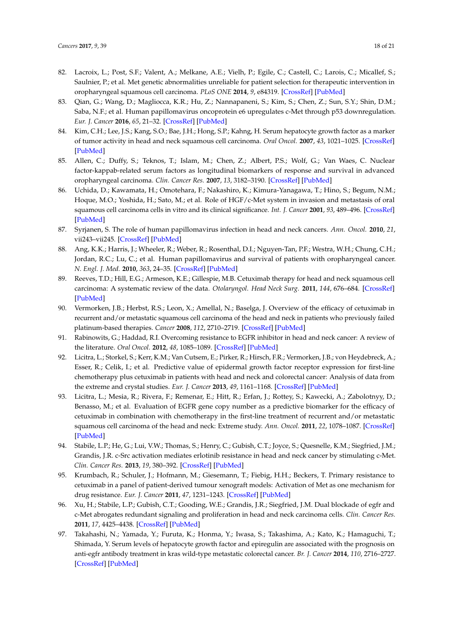- <span id="page-17-0"></span>82. Lacroix, L.; Post, S.F.; Valent, A.; Melkane, A.E.; Vielh, P.; Egile, C.; Castell, C.; Larois, C.; Micallef, S.; Saulnier, P.; et al. Met genetic abnormalities unreliable for patient selection for therapeutic intervention in oropharyngeal squamous cell carcinoma. *PLoS ONE* **2014**, *9*, e84319. [\[CrossRef\]](http://dx.doi.org/10.1371/journal.pone.0084319) [\[PubMed\]](http://www.ncbi.nlm.nih.gov/pubmed/24465403)
- <span id="page-17-1"></span>83. Qian, G.; Wang, D.; Magliocca, K.R.; Hu, Z.; Nannapaneni, S.; Kim, S.; Chen, Z.; Sun, S.Y.; Shin, D.M.; Saba, N.F.; et al. Human papillomavirus oncoprotein e6 upregulates c-Met through p53 downregulation. *Eur. J. Cancer* **2016**, *65*, 21–32. [\[CrossRef\]](http://dx.doi.org/10.1016/j.ejca.2016.06.006) [\[PubMed\]](http://www.ncbi.nlm.nih.gov/pubmed/27451021)
- <span id="page-17-2"></span>84. Kim, C.H.; Lee, J.S.; Kang, S.O.; Bae, J.H.; Hong, S.P.; Kahng, H. Serum hepatocyte growth factor as a marker of tumor activity in head and neck squamous cell carcinoma. *Oral Oncol.* **2007**, *43*, 1021–1025. [\[CrossRef\]](http://dx.doi.org/10.1016/j.oraloncology.2006.11.016) [\[PubMed\]](http://www.ncbi.nlm.nih.gov/pubmed/17306605)
- <span id="page-17-3"></span>85. Allen, C.; Duffy, S.; Teknos, T.; Islam, M.; Chen, Z.; Albert, P.S.; Wolf, G.; Van Waes, C. Nuclear factor-kappab-related serum factors as longitudinal biomarkers of response and survival in advanced oropharyngeal carcinoma. *Clin. Cancer Res.* **2007**, *13*, 3182–3190. [\[CrossRef\]](http://dx.doi.org/10.1158/1078-0432.CCR-06-3047) [\[PubMed\]](http://www.ncbi.nlm.nih.gov/pubmed/17545521)
- <span id="page-17-4"></span>86. Uchida, D.; Kawamata, H.; Omotehara, F.; Nakashiro, K.; Kimura-Yanagawa, T.; Hino, S.; Begum, N.M.; Hoque, M.O.; Yoshida, H.; Sato, M.; et al. Role of HGF/c-Met system in invasion and metastasis of oral squamous cell carcinoma cells in vitro and its clinical significance. *Int. J. Cancer* **2001**, *93*, 489–496. [\[CrossRef\]](http://dx.doi.org/10.1002/ijc.1368) [\[PubMed\]](http://www.ncbi.nlm.nih.gov/pubmed/11477552)
- <span id="page-17-5"></span>87. Syrjanen, S. The role of human papillomavirus infection in head and neck cancers. *Ann. Oncol.* **2010**, *21*, vii243–vii245. [\[CrossRef\]](http://dx.doi.org/10.1093/annonc/mdq454) [\[PubMed\]](http://www.ncbi.nlm.nih.gov/pubmed/20943622)
- <span id="page-17-6"></span>88. Ang, K.K.; Harris, J.; Wheeler, R.; Weber, R.; Rosenthal, D.I.; Nguyen-Tan, P.F.; Westra, W.H.; Chung, C.H.; Jordan, R.C.; Lu, C.; et al. Human papillomavirus and survival of patients with oropharyngeal cancer. *N. Engl. J. Med.* **2010**, *363*, 24–35. [\[CrossRef\]](http://dx.doi.org/10.1056/NEJMoa0912217) [\[PubMed\]](http://www.ncbi.nlm.nih.gov/pubmed/20530316)
- <span id="page-17-7"></span>89. Reeves, T.D.; Hill, E.G.; Armeson, K.E.; Gillespie, M.B. Cetuximab therapy for head and neck squamous cell carcinoma: A systematic review of the data. *Otolaryngol. Head Neck Surg.* **2011**, *144*, 676–684. [\[CrossRef\]](http://dx.doi.org/10.1177/0194599811399559) [\[PubMed\]](http://www.ncbi.nlm.nih.gov/pubmed/21493327)
- <span id="page-17-8"></span>90. Vermorken, J.B.; Herbst, R.S.; Leon, X.; Amellal, N.; Baselga, J. Overview of the efficacy of cetuximab in recurrent and/or metastatic squamous cell carcinoma of the head and neck in patients who previously failed platinum-based therapies. *Cancer* **2008**, *112*, 2710–2719. [\[CrossRef\]](http://dx.doi.org/10.1002/cncr.23442) [\[PubMed\]](http://www.ncbi.nlm.nih.gov/pubmed/18481809)
- <span id="page-17-9"></span>91. Rabinowits, G.; Haddad, R.I. Overcoming resistance to EGFR inhibitor in head and neck cancer: A review of the literature. *Oral Oncol.* **2012**, *48*, 1085–1089. [\[CrossRef\]](http://dx.doi.org/10.1016/j.oraloncology.2012.06.016) [\[PubMed\]](http://www.ncbi.nlm.nih.gov/pubmed/22840785)
- <span id="page-17-10"></span>92. Licitra, L.; Storkel, S.; Kerr, K.M.; Van Cutsem, E.; Pirker, R.; Hirsch, F.R.; Vermorken, J.B.; von Heydebreck, A.; Esser, R.; Celik, I.; et al. Predictive value of epidermal growth factor receptor expression for first-line chemotherapy plus cetuximab in patients with head and neck and colorectal cancer: Analysis of data from the extreme and crystal studies. *Eur. J. Cancer* **2013**, *49*, 1161–1168. [\[CrossRef\]](http://dx.doi.org/10.1016/j.ejca.2012.11.018) [\[PubMed\]](http://www.ncbi.nlm.nih.gov/pubmed/23265711)
- <span id="page-17-11"></span>93. Licitra, L.; Mesia, R.; Rivera, F.; Remenar, E.; Hitt, R.; Erfan, J.; Rottey, S.; Kawecki, A.; Zabolotnyy, D.; Benasso, M.; et al. Evaluation of EGFR gene copy number as a predictive biomarker for the efficacy of cetuximab in combination with chemotherapy in the first-line treatment of recurrent and/or metastatic squamous cell carcinoma of the head and neck: Extreme study. *Ann. Oncol.* **2011**, *22*, 1078–1087. [\[CrossRef\]](http://dx.doi.org/10.1093/annonc/mdq588) [\[PubMed\]](http://www.ncbi.nlm.nih.gov/pubmed/21048039)
- <span id="page-17-12"></span>94. Stabile, L.P.; He, G.; Lui, V.W.; Thomas, S.; Henry, C.; Gubish, C.T.; Joyce, S.; Quesnelle, K.M.; Siegfried, J.M.; Grandis, J.R. c-Src activation mediates erlotinib resistance in head and neck cancer by stimulating c-Met. *Clin. Cancer Res.* **2013**, *19*, 380–392. [\[CrossRef\]](http://dx.doi.org/10.1158/1078-0432.CCR-12-1555) [\[PubMed\]](http://www.ncbi.nlm.nih.gov/pubmed/23213056)
- <span id="page-17-13"></span>95. Krumbach, R.; Schuler, J.; Hofmann, M.; Giesemann, T.; Fiebig, H.H.; Beckers, T. Primary resistance to cetuximab in a panel of patient-derived tumour xenograft models: Activation of Met as one mechanism for drug resistance. *Eur. J. Cancer* **2011**, *47*, 1231–1243. [\[CrossRef\]](http://dx.doi.org/10.1016/j.ejca.2010.12.019) [\[PubMed\]](http://www.ncbi.nlm.nih.gov/pubmed/21273060)
- <span id="page-17-14"></span>96. Xu, H.; Stabile, L.P.; Gubish, C.T.; Gooding, W.E.; Grandis, J.R.; Siegfried, J.M. Dual blockade of egfr and c-Met abrogates redundant signaling and proliferation in head and neck carcinoma cells. *Clin. Cancer Res.* **2011**, *17*, 4425–4438. [\[CrossRef\]](http://dx.doi.org/10.1158/1078-0432.CCR-10-3339) [\[PubMed\]](http://www.ncbi.nlm.nih.gov/pubmed/21622718)
- <span id="page-17-15"></span>97. Takahashi, N.; Yamada, Y.; Furuta, K.; Honma, Y.; Iwasa, S.; Takashima, A.; Kato, K.; Hamaguchi, T.; Shimada, Y. Serum levels of hepatocyte growth factor and epiregulin are associated with the prognosis on anti-egfr antibody treatment in kras wild-type metastatic colorectal cancer. *Br. J. Cancer* **2014**, *110*, 2716–2727. [\[CrossRef\]](http://dx.doi.org/10.1038/bjc.2014.230) [\[PubMed\]](http://www.ncbi.nlm.nih.gov/pubmed/24800946)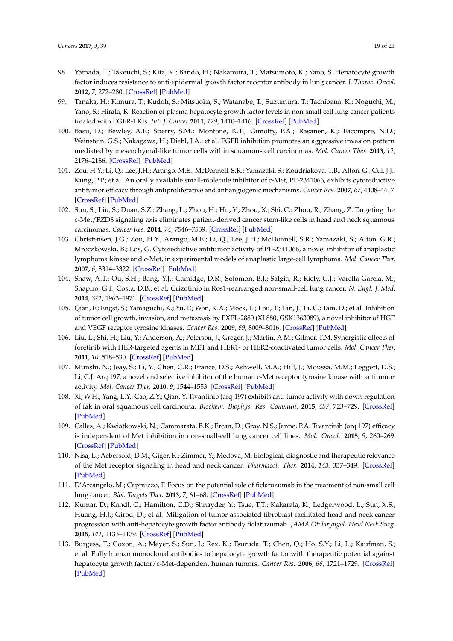- 98. Yamada, T.; Takeuchi, S.; Kita, K.; Bando, H.; Nakamura, T.; Matsumoto, K.; Yano, S. Hepatocyte growth factor induces resistance to anti-epidermal growth factor receptor antibody in lung cancer. *J. Thorac. Oncol.* **2012**, *7*, 272–280. [\[CrossRef\]](http://dx.doi.org/10.1097/JTO.0b013e3182398e69) [\[PubMed\]](http://www.ncbi.nlm.nih.gov/pubmed/22089117)
- <span id="page-18-0"></span>99. Tanaka, H.; Kimura, T.; Kudoh, S.; Mitsuoka, S.; Watanabe, T.; Suzumura, T.; Tachibana, K.; Noguchi, M.; Yano, S.; Hirata, K. Reaction of plasma hepatocyte growth factor levels in non-small cell lung cancer patients treated with EGFR-TKIs. *Int. J. Cancer* **2011**, *129*, 1410–1416. [\[CrossRef\]](http://dx.doi.org/10.1002/ijc.25799) [\[PubMed\]](http://www.ncbi.nlm.nih.gov/pubmed/21128242)
- <span id="page-18-1"></span>100. Basu, D.; Bewley, A.F.; Sperry, S.M.; Montone, K.T.; Gimotty, P.A.; Rasanen, K.; Facompre, N.D.; Weinstein, G.S.; Nakagawa, H.; Diehl, J.A.; et al. EGFR inhibition promotes an aggressive invasion pattern mediated by mesenchymal-like tumor cells within squamous cell carcinomas. *Mol. Cancer Ther.* **2013**, *12*, 2176–2186. [\[CrossRef\]](http://dx.doi.org/10.1158/1535-7163.MCT-12-1210) [\[PubMed\]](http://www.ncbi.nlm.nih.gov/pubmed/23939378)
- <span id="page-18-2"></span>101. Zou, H.Y.; Li, Q.; Lee, J.H.; Arango, M.E.; McDonnell, S.R.; Yamazaki, S.; Koudriakova, T.B.; Alton, G.; Cui, J.J.; Kung, P.P.; et al. An orally available small-molecule inhibitor of c-Met, PF-2341066, exhibits cytoreductive antitumor efficacy through antiproliferative and antiangiogenic mechanisms. *Cancer Res.* **2007**, *67*, 4408–4417. [\[CrossRef\]](http://dx.doi.org/10.1158/0008-5472.CAN-06-4443) [\[PubMed\]](http://www.ncbi.nlm.nih.gov/pubmed/17483355)
- <span id="page-18-3"></span>102. Sun, S.; Liu, S.; Duan, S.Z.; Zhang, L.; Zhou, H.; Hu, Y.; Zhou, X.; Shi, C.; Zhou, R.; Zhang, Z. Targeting the c-Met/FZD8 signaling axis eliminates patient-derived cancer stem-like cells in head and neck squamous carcinomas. *Cancer Res.* **2014**, *74*, 7546–7559. [\[CrossRef\]](http://dx.doi.org/10.1158/0008-5472.CAN-14-0826) [\[PubMed\]](http://www.ncbi.nlm.nih.gov/pubmed/25320014)
- <span id="page-18-4"></span>103. Christensen, J.G.; Zou, H.Y.; Arango, M.E.; Li, Q.; Lee, J.H.; McDonnell, S.R.; Yamazaki, S.; Alton, G.R.; Mroczkowski, B.; Los, G. Cytoreductive antitumor activity of PF-2341066, a novel inhibitor of anaplastic lymphoma kinase and c-Met, in experimental models of anaplastic large-cell lymphoma. *Mol. Cancer Ther.* **2007**, *6*, 3314–3322. [\[CrossRef\]](http://dx.doi.org/10.1158/1535-7163.MCT-07-0365) [\[PubMed\]](http://www.ncbi.nlm.nih.gov/pubmed/18089725)
- <span id="page-18-5"></span>104. Shaw, A.T.; Ou, S.H.; Bang, Y.J.; Camidge, D.R.; Solomon, B.J.; Salgia, R.; Riely, G.J.; Varella-Garcia, M.; Shapiro, G.I.; Costa, D.B.; et al. Crizotinib in Ros1-rearranged non-small-cell lung cancer. *N. Engl. J. Med.* **2014**, *371*, 1963–1971. [\[CrossRef\]](http://dx.doi.org/10.1056/NEJMoa1406766) [\[PubMed\]](http://www.ncbi.nlm.nih.gov/pubmed/25264305)
- <span id="page-18-6"></span>105. Qian, F.; Engst, S.; Yamaguchi, K.; Yu, P.; Won, K.A.; Mock, L.; Lou, T.; Tan, J.; Li, C.; Tam, D.; et al. Inhibition of tumor cell growth, invasion, and metastasis by EXEL-2880 (XL880, GSK1363089), a novel inhibitor of HGF and VEGF receptor tyrosine kinases. *Cancer Res.* **2009**, *69*, 8009–8016. [\[CrossRef\]](http://dx.doi.org/10.1158/0008-5472.CAN-08-4889) [\[PubMed\]](http://www.ncbi.nlm.nih.gov/pubmed/19808973)
- <span id="page-18-7"></span>106. Liu, L.; Shi, H.; Liu, Y.; Anderson, A.; Peterson, J.; Greger, J.; Martin, A.M.; Gilmer, T.M. Synergistic effects of foretinib with HER-targeted agents in MET and HER1- or HER2-coactivated tumor cells. *Mol. Cancer Ther.* **2011**, *10*, 518–530. [\[CrossRef\]](http://dx.doi.org/10.1158/1535-7163.MCT-10-0698) [\[PubMed\]](http://www.ncbi.nlm.nih.gov/pubmed/21252284)
- <span id="page-18-8"></span>107. Munshi, N.; Jeay, S.; Li, Y.; Chen, C.R.; France, D.S.; Ashwell, M.A.; Hill, J.; Moussa, M.M.; Leggett, D.S.; Li, C.J. Arq 197, a novel and selective inhibitor of the human c-Met receptor tyrosine kinase with antitumor activity. *Mol. Cancer Ther.* **2010**, *9*, 1544–1553. [\[CrossRef\]](http://dx.doi.org/10.1158/1535-7163.MCT-09-1173) [\[PubMed\]](http://www.ncbi.nlm.nih.gov/pubmed/20484018)
- <span id="page-18-9"></span>108. Xi, W.H.; Yang, L.Y.; Cao, Z.Y.; Qian, Y. Tivantinib (arq-197) exhibits anti-tumor activity with down-regulation of fak in oral squamous cell carcinoma. *Biochem. Biophys. Res. Commun.* **2015**, *457*, 723–729. [\[CrossRef\]](http://dx.doi.org/10.1016/j.bbrc.2015.01.062) [\[PubMed\]](http://www.ncbi.nlm.nih.gov/pubmed/25623532)
- <span id="page-18-10"></span>109. Calles, A.; Kwiatkowski, N.; Cammarata, B.K.; Ercan, D.; Gray, N.S.; Janne, P.A. Tivantinib (arq 197) efficacy is independent of Met inhibition in non-small-cell lung cancer cell lines. *Mol. Oncol.* **2015**, *9*, 260–269. [\[CrossRef\]](http://dx.doi.org/10.1016/j.molonc.2014.08.011) [\[PubMed\]](http://www.ncbi.nlm.nih.gov/pubmed/25226813)
- <span id="page-18-11"></span>110. Nisa, L.; Aebersold, D.M.; Giger, R.; Zimmer, Y.; Medova, M. Biological, diagnostic and therapeutic relevance of the Met receptor signaling in head and neck cancer. *Pharmacol. Ther.* **2014**, *143*, 337–349. [\[CrossRef\]](http://dx.doi.org/10.1016/j.pharmthera.2014.04.005) [\[PubMed\]](http://www.ncbi.nlm.nih.gov/pubmed/24786972)
- <span id="page-18-12"></span>111. D'Arcangelo, M.; Cappuzzo, F. Focus on the potential role of ficlatuzumab in the treatment of non-small cell lung cancer. *Biol. Targets Ther.* **2013**, *7*, 61–68. [\[CrossRef\]](http://dx.doi.org/10.2147/BTT.S28908) [\[PubMed\]](http://www.ncbi.nlm.nih.gov/pubmed/23493885)
- <span id="page-18-13"></span>112. Kumar, D.; Kandl, C.; Hamilton, C.D.; Shnayder, Y.; Tsue, T.T.; Kakarala, K.; Ledgerwood, L.; Sun, X.S.; Huang, H.J.; Girod, D.; et al. Mitigation of tumor-associated fibroblast-facilitated head and neck cancer progression with anti-hepatocyte growth factor antibody ficlatuzumab. *JAMA Otolaryngol. Head Neck Surg.* **2015**, *141*, 1133–1139. [\[CrossRef\]](http://dx.doi.org/10.1001/jamaoto.2015.2381) [\[PubMed\]](http://www.ncbi.nlm.nih.gov/pubmed/26540318)
- <span id="page-18-14"></span>113. Burgess, T.; Coxon, A.; Meyer, S.; Sun, J.; Rex, K.; Tsuruda, T.; Chen, Q.; Ho, S.Y.; Li, L.; Kaufman, S.; et al. Fully human monoclonal antibodies to hepatocyte growth factor with therapeutic potential against hepatocyte growth factor/c-Met-dependent human tumors. *Cancer Res.* **2006**, *66*, 1721–1729. [\[CrossRef\]](http://dx.doi.org/10.1158/0008-5472.CAN-05-3329) [\[PubMed\]](http://www.ncbi.nlm.nih.gov/pubmed/16452232)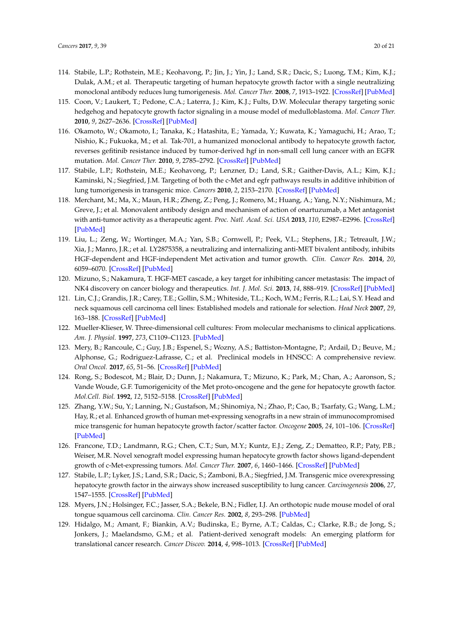- <span id="page-19-0"></span>114. Stabile, L.P.; Rothstein, M.E.; Keohavong, P.; Jin, J.; Yin, J.; Land, S.R.; Dacic, S.; Luong, T.M.; Kim, K.J.; Dulak, A.M.; et al. Therapeutic targeting of human hepatocyte growth factor with a single neutralizing monoclonal antibody reduces lung tumorigenesis. *Mol. Cancer Ther.* **2008**, *7*, 1913–1922. [\[CrossRef\]](http://dx.doi.org/10.1158/1535-7163.MCT-07-2169) [\[PubMed\]](http://www.ncbi.nlm.nih.gov/pubmed/18645002)
- <span id="page-19-1"></span>115. Coon, V.; Laukert, T.; Pedone, C.A.; Laterra, J.; Kim, K.J.; Fults, D.W. Molecular therapy targeting sonic hedgehog and hepatocyte growth factor signaling in a mouse model of medulloblastoma. *Mol. Cancer Ther.* **2010**, *9*, 2627–2636. [\[CrossRef\]](http://dx.doi.org/10.1158/1535-7163.MCT-10-0486) [\[PubMed\]](http://www.ncbi.nlm.nih.gov/pubmed/20807782)
- <span id="page-19-2"></span>116. Okamoto, W.; Okamoto, I.; Tanaka, K.; Hatashita, E.; Yamada, Y.; Kuwata, K.; Yamaguchi, H.; Arao, T.; Nishio, K.; Fukuoka, M.; et al. Tak-701, a humanized monoclonal antibody to hepatocyte growth factor, reverses gefitinib resistance induced by tumor-derived hgf in non-small cell lung cancer with an EGFR mutation. *Mol. Cancer Ther.* **2010**, *9*, 2785–2792. [\[CrossRef\]](http://dx.doi.org/10.1158/1535-7163.MCT-10-0481) [\[PubMed\]](http://www.ncbi.nlm.nih.gov/pubmed/20716641)
- <span id="page-19-3"></span>117. Stabile, L.P.; Rothstein, M.E.; Keohavong, P.; Lenzner, D.; Land, S.R.; Gaither-Davis, A.L.; Kim, K.J.; Kaminski, N.; Siegfried, J.M. Targeting of both the c-Met and egfr pathways results in additive inhibition of lung tumorigenesis in transgenic mice. *Cancers* **2010**, *2*, 2153–2170. [\[CrossRef\]](http://dx.doi.org/10.3390/cancers2042153) [\[PubMed\]](http://www.ncbi.nlm.nih.gov/pubmed/21390244)
- <span id="page-19-4"></span>118. Merchant, M.; Ma, X.; Maun, H.R.; Zheng, Z.; Peng, J.; Romero, M.; Huang, A.; Yang, N.Y.; Nishimura, M.; Greve, J.; et al. Monovalent antibody design and mechanism of action of onartuzumab, a Met antagonist with anti-tumor activity as a therapeutic agent. *Proc. Natl. Acad. Sci. USA* **2013**, *110*, E2987–E2996. [\[CrossRef\]](http://dx.doi.org/10.1073/pnas.1302725110) [\[PubMed\]](http://www.ncbi.nlm.nih.gov/pubmed/23882082)
- <span id="page-19-5"></span>119. Liu, L.; Zeng, W.; Wortinger, M.A.; Yan, S.B.; Cornwell, P.; Peek, V.L.; Stephens, J.R.; Tetreault, J.W.; Xia, J.; Manro, J.R.; et al. LY2875358, a neutralizing and internalizing anti-MET bivalent antibody, inhibits HGF-dependent and HGF-independent Met activation and tumor growth. *Clin. Cancer Res.* **2014**, *20*, 6059–6070. [\[CrossRef\]](http://dx.doi.org/10.1158/1078-0432.CCR-14-0543) [\[PubMed\]](http://www.ncbi.nlm.nih.gov/pubmed/25231402)
- <span id="page-19-6"></span>120. Mizuno, S.; Nakamura, T. HGF-MET cascade, a key target for inhibiting cancer metastasis: The impact of NK4 discovery on cancer biology and therapeutics. *Int. J. Mol. Sci.* **2013**, *14*, 888–919. [\[CrossRef\]](http://dx.doi.org/10.3390/ijms14010888) [\[PubMed\]](http://www.ncbi.nlm.nih.gov/pubmed/23296269)
- <span id="page-19-7"></span>121. Lin, C.J.; Grandis, J.R.; Carey, T.E.; Gollin, S.M.; Whiteside, T.L.; Koch, W.M.; Ferris, R.L.; Lai, S.Y. Head and neck squamous cell carcinoma cell lines: Established models and rationale for selection. *Head Neck* **2007**, *29*, 163–188. [\[CrossRef\]](http://dx.doi.org/10.1002/hed.20478) [\[PubMed\]](http://www.ncbi.nlm.nih.gov/pubmed/17312569)
- <span id="page-19-8"></span>122. Mueller-Klieser, W. Three-dimensional cell cultures: From molecular mechanisms to clinical applications. *Am. J. Physiol.* **1997**, *273*, C1109–C1123. [\[PubMed\]](http://www.ncbi.nlm.nih.gov/pubmed/9357753)
- <span id="page-19-9"></span>123. Mery, B.; Rancoule, C.; Guy, J.B.; Espenel, S.; Wozny, A.S.; Battiston-Montagne, P.; Ardail, D.; Beuve, M.; Alphonse, G.; Rodriguez-Lafrasse, C.; et al. Preclinical models in HNSCC: A comprehensive review. *Oral Oncol.* **2017**, *65*, 51–56. [\[CrossRef\]](http://dx.doi.org/10.1016/j.oraloncology.2016.12.010) [\[PubMed\]](http://www.ncbi.nlm.nih.gov/pubmed/28109468)
- <span id="page-19-10"></span>124. Rong, S.; Bodescot, M.; Blair, D.; Dunn, J.; Nakamura, T.; Mizuno, K.; Park, M.; Chan, A.; Aaronson, S.; Vande Woude, G.F. Tumorigenicity of the Met proto-oncogene and the gene for hepatocyte growth factor. *Mol.Cell. Biol.* **1992**, *12*, 5152–5158. [\[CrossRef\]](http://dx.doi.org/10.1128/MCB.12.11.5152) [\[PubMed\]](http://www.ncbi.nlm.nih.gov/pubmed/1406687)
- <span id="page-19-11"></span>125. Zhang, Y.W.; Su, Y.; Lanning, N.; Gustafson, M.; Shinomiya, N.; Zhao, P.; Cao, B.; Tsarfaty, G.; Wang, L.M.; Hay, R.; et al. Enhanced growth of human met-expressing xenografts in a new strain of immunocompromised mice transgenic for human hepatocyte growth factor/scatter factor. *Oncogene* **2005**, *24*, 101–106. [\[CrossRef\]](http://dx.doi.org/10.1038/sj.onc.1208181) [\[PubMed\]](http://www.ncbi.nlm.nih.gov/pubmed/15531925)
- <span id="page-19-12"></span>126. Francone, T.D.; Landmann, R.G.; Chen, C.T.; Sun, M.Y.; Kuntz, E.J.; Zeng, Z.; Dematteo, R.P.; Paty, P.B.; Weiser, M.R. Novel xenograft model expressing human hepatocyte growth factor shows ligand-dependent growth of c-Met-expressing tumors. *Mol. Cancer Ther.* **2007**, *6*, 1460–1466. [\[CrossRef\]](http://dx.doi.org/10.1158/1535-7163.MCT-06-0466) [\[PubMed\]](http://www.ncbi.nlm.nih.gov/pubmed/17431125)
- <span id="page-19-13"></span>127. Stabile, L.P.; Lyker, J.S.; Land, S.R.; Dacic, S.; Zamboni, B.A.; Siegfried, J.M. Transgenic mice overexpressing hepatocyte growth factor in the airways show increased susceptibility to lung cancer. *Carcinogenesis* **2006**, *27*, 1547–1555. [\[CrossRef\]](http://dx.doi.org/10.1093/carcin/bgl003) [\[PubMed\]](http://www.ncbi.nlm.nih.gov/pubmed/16513678)
- <span id="page-19-14"></span>128. Myers, J.N.; Holsinger, F.C.; Jasser, S.A.; Bekele, B.N.; Fidler, I.J. An orthotopic nude mouse model of oral tongue squamous cell carcinoma. *Clin. Cancer Res.* **2002**, *8*, 293–298. [\[PubMed\]](http://www.ncbi.nlm.nih.gov/pubmed/11801572)
- <span id="page-19-15"></span>129. Hidalgo, M.; Amant, F.; Biankin, A.V.; Budinska, E.; Byrne, A.T.; Caldas, C.; Clarke, R.B.; de Jong, S.; Jonkers, J.; Maelandsmo, G.M.; et al. Patient-derived xenograft models: An emerging platform for translational cancer research. *Cancer Discov.* **2014**, *4*, 998–1013. [\[CrossRef\]](http://dx.doi.org/10.1158/2159-8290.CD-14-0001) [\[PubMed\]](http://www.ncbi.nlm.nih.gov/pubmed/25185190)